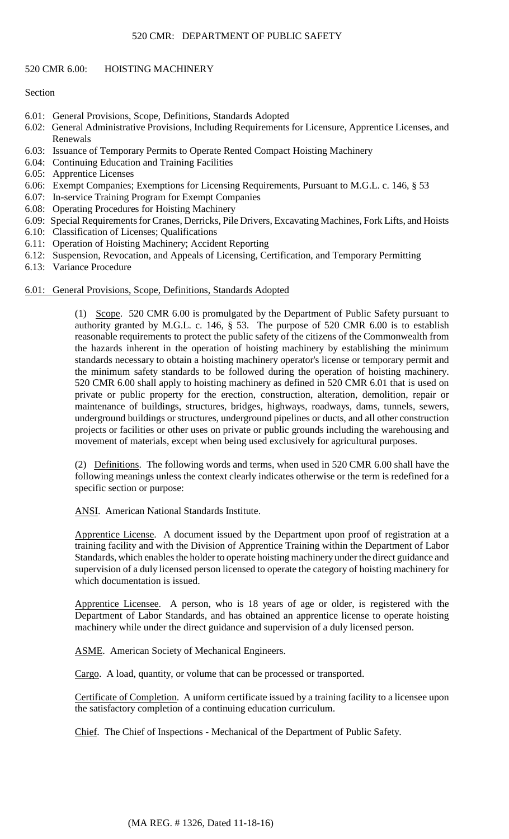#### 520 CMR: DEPARTMENT OF PUBLIC SAFETY

#### 520 CMR 6.00: HOISTING MACHINERY

#### Section

- 6.01: General Provisions, Scope, Definitions, Standards Adopted
- 6.02: General Administrative Provisions, Including Requirements for Licensure, Apprentice Licenses, and Renewals
- 6.03: Issuance of Temporary Permits to Operate Rented Compact Hoisting Machinery
- 6.04: Continuing Education and Training Facilities
- 6.05: Apprentice Licenses
- 6.06: Exempt Companies; Exemptions for Licensing Requirements, Pursuant to M.G.L. c. 146, § 53
- 6.07: In-service Training Program for Exempt Companies
- 6.08: Operating Procedures for Hoisting Machinery
- 6.09: Special Requirements for Cranes, Derricks, Pile Drivers, Excavating Machines, Fork Lifts, and Hoists
- 6.10: Classification of Licenses; Qualifications
- 6.11: Operation of Hoisting Machinery; Accident Reporting
- 6.12: Suspension, Revocation, and Appeals of Licensing, Certification, and Temporary Permitting
- 6.13: Variance Procedure

#### 6.01: General Provisions, Scope, Definitions, Standards Adopted

 (1) Scope. 520 CMR 6.00 is promulgated by the Department of Public Safety pursuant to 520 CMR 6.00 shall apply to hoisting machinery as defined in 520 CMR 6.01 that is used on authority granted by M.G.L. c. 146, § 53. The purpose of 520 CMR 6.00 is to establish reasonable requirements to protect the public safety of the citizens of the Commonwealth from the hazards inherent in the operation of hoisting machinery by establishing the minimum standards necessary to obtain a hoisting machinery operator's license or temporary permit and the minimum safety standards to be followed during the operation of hoisting machinery. private or public property for the erection, construction, alteration, demolition, repair or maintenance of buildings, structures, bridges, highways, roadways, dams, tunnels, sewers, underground buildings or structures, underground pipelines or ducts, and all other construction projects or facilities or other uses on private or public grounds including the warehousing and movement of materials, except when being used exclusively for agricultural purposes.

(2) Definitions. The following words and terms, when used in 520 CMR 6.00 shall have the following meanings unless the context clearly indicates otherwise or the term is redefined for a specific section or purpose:

ANSI. American National Standards Institute.

 Apprentice License. A document issued by the Department upon proof of registration at a training facility and with the Division of Apprentice Training within the Department of Labor Standards, which enables the holder to operate hoisting machinery under the direct guidance and supervision of a duly licensed person licensed to operate the category of hoisting machinery for which documentation is issued.

Apprentice Licensee. A person, who is 18 years of age or older, is registered with the Department of Labor Standards, and has obtained an apprentice license to operate hoisting machinery while under the direct guidance and supervision of a duly licensed person.

ASME. American Society of Mechanical Engineers.

Cargo. A load, quantity, or volume that can be processed or transported.

 Certificate of Completion. A uniform certificate issued by a training facility to a licensee upon the satisfactory completion of a continuing education curriculum.

Chief. The Chief of Inspections - Mechanical of the Department of Public Safety.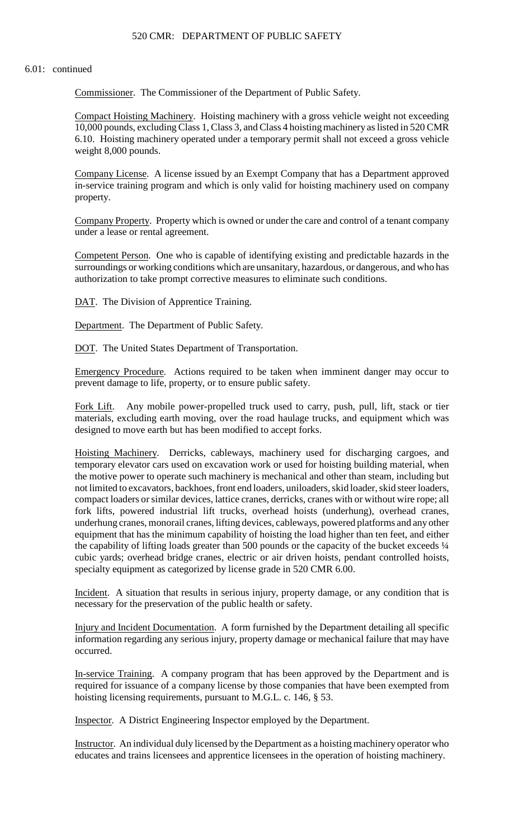#### 520 CMR: DEPARTMENT OF PUBLIC SAFETY

#### 6.01: continued

Commissioner. The Commissioner of the Department of Public Safety.

 Compact Hoisting Machinery. Hoisting machinery with a gross vehicle weight not exceeding 10,000 pounds, excluding Class 1, Class 3, and Class 4 hoisting machinery as listed in 520 CMR 6.10. Hoisting machinery operated under a temporary permit shall not exceed a gross vehicle weight 8,000 pounds.

Company License. A license issued by an Exempt Company that has a Department approved in-service training program and which is only valid for hoisting machinery used on company property.

Company Property. Property which is owned or under the care and control of a tenant company under a lease or rental agreement.

Competent Person. One who is capable of identifying existing and predictable hazards in the surroundings or working conditions which are unsanitary, hazardous, or dangerous, and who has authorization to take prompt corrective measures to eliminate such conditions.

DAT. The Division of Apprentice Training.

Department. The Department of Public Safety.

DOT. The United States Department of Transportation.

Emergency Procedure. Actions required to be taken when imminent danger may occur to prevent damage to life, property, or to ensure public safety.

Fork Lift. Any mobile power-propelled truck used to carry, push, pull, lift, stack or tier materials, excluding earth moving, over the road haulage trucks, and equipment which was designed to move earth but has been modified to accept forks.

Hoisting Machinery. Derricks, cableways, machinery used for discharging cargoes, and temporary elevator cars used on excavation work or used for hoisting building material, when the motive power to operate such machinery is mechanical and other than steam, including but not limited to excavators, backhoes, front end loaders, uniloaders, skid loader, skid steer loaders, compact loaders or similar devices, lattice cranes, derricks, cranes with or without wire rope; all fork lifts, powered industrial lift trucks, overhead hoists (underhung), overhead cranes, underhung cranes, monorail cranes, lifting devices, cableways, powered platforms and any other equipment that has the minimum capability of hoisting the load higher than ten feet, and either the capability of lifting loads greater than 500 pounds or the capacity of the bucket exceeds  $\frac{1}{4}$ cubic yards; overhead bridge cranes, electric or air driven hoists, pendant controlled hoists, specialty equipment as categorized by license grade in 520 CMR 6.00.

Incident. A situation that results in serious injury, property damage, or any condition that is necessary for the preservation of the public health or safety.

 Injury and Incident Documentation. A form furnished by the Department detailing all specific information regarding any serious injury, property damage or mechanical failure that may have occurred.

In-service Training. A company program that has been approved by the Department and is required for issuance of a company license by those companies that have been exempted from hoisting licensing requirements, pursuant to M.G.L. c. 146, § 53.

Inspector. A District Engineering Inspector employed by the Department.

Instructor. An individual duly licensed by the Department as a hoisting machinery operator who educates and trains licensees and apprentice licensees in the operation of hoisting machinery.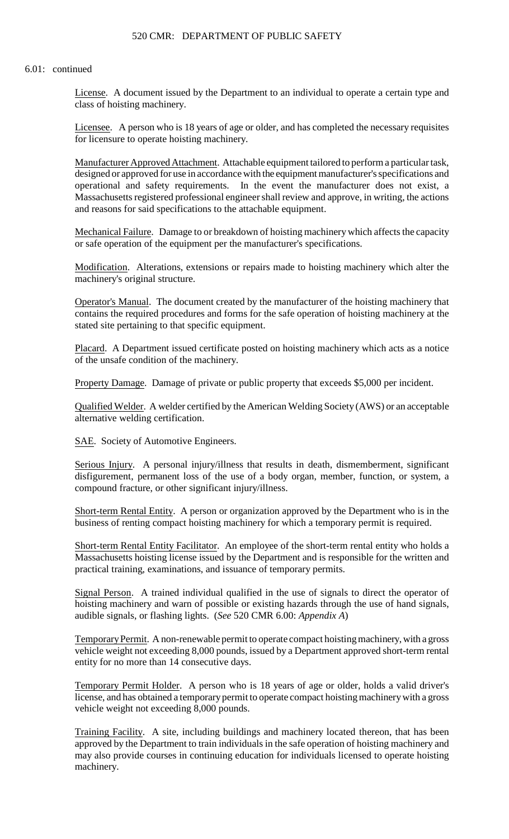#### 6.01: continued

License. A document issued by the Department to an individual to operate a certain type and class of hoisting machinery.

Licensee. A person who is 18 years of age or older, and has completed the necessary requisites for licensure to operate hoisting machinery.

Manufacturer Approved Attachment. Attachable equipment tailored to perform a particular task, designed or approved for use in accordance with the equipment manufacturer's specifications and operational and safety requirements. In the event the manufacturer does not exist, a Massachusetts registered professional engineer shall review and approve, in writing, the actions and reasons for said specifications to the attachable equipment.

 Mechanical Failure. Damage to or breakdown of hoisting machinery which affects the capacity or safe operation of the equipment per the manufacturer's specifications.

Modification. Alterations, extensions or repairs made to hoisting machinery which alter the machinery's original structure.

Operator's Manual. The document created by the manufacturer of the hoisting machinery that contains the required procedures and forms for the safe operation of hoisting machinery at the stated site pertaining to that specific equipment.

Placard. A Department issued certificate posted on hoisting machinery which acts as a notice of the unsafe condition of the machinery.

Property Damage. Damage of private or public property that exceeds \$5,000 per incident.

 Qualified Welder. A welder certified by the American Welding Society (AWS) or an acceptable alternative welding certification.

SAE. Society of Automotive Engineers.

Serious Injury. A personal injury/illness that results in death, dismemberment, significant disfigurement, permanent loss of the use of a body organ, member, function, or system, a compound fracture, or other significant injury/illness.

Short-term Rental Entity. A person or organization approved by the Department who is in the business of renting compact hoisting machinery for which a temporary permit is required.

Short-term Rental Entity Facilitator. An employee of the short-term rental entity who holds a Massachusetts hoisting license issued by the Department and is responsible for the written and practical training, examinations, and issuance of temporary permits.

Signal Person. A trained individual qualified in the use of signals to direct the operator of hoisting machinery and warn of possible or existing hazards through the use of hand signals, audible signals, or flashing lights. (*See* 520 CMR 6.00: *Appendix A*)

Temporary Permit. A non-renewable permit to operate compact hoisting machinery, with a gross vehicle weight not exceeding 8,000 pounds, issued by a Department approved short-term rental entity for no more than 14 consecutive days.

 Temporary Permit Holder. A person who is 18 years of age or older, holds a valid driver's license, and has obtained a temporary permit to operate compact hoisting machinery with a gross vehicle weight not exceeding 8,000 pounds.

Training Facility. A site, including buildings and machinery located thereon, that has been approved by the Department to train individuals in the safe operation of hoisting machinery and may also provide courses in continuing education for individuals licensed to operate hoisting machinery.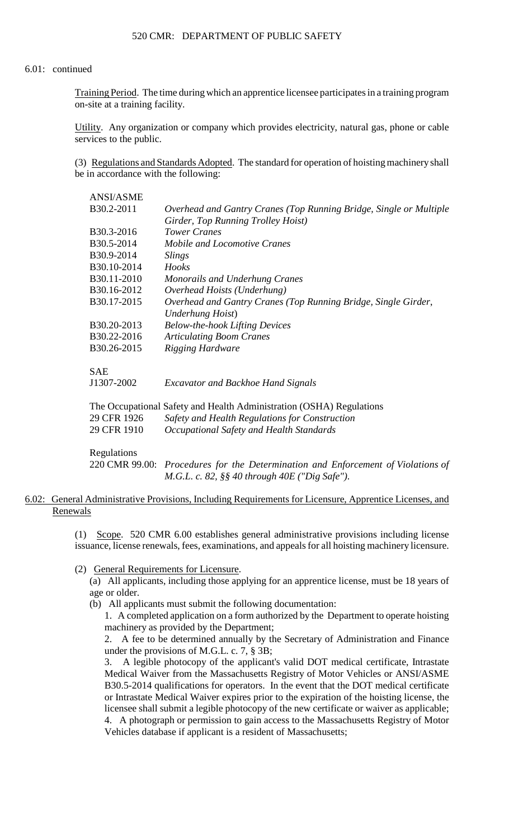#### 6.01: continued

Training Period. The time during which an apprentice licensee participates in a training program on-site at a training facility.

Utility. Any organization or company which provides electricity, natural gas, phone or cable services to the public.

 (3) Regulations and Standards Adopted. The standard for operation of hoisting machinery shall be in accordance with the following:

| <b>ANSI/ASME</b> |                                                                                                                                   |
|------------------|-----------------------------------------------------------------------------------------------------------------------------------|
| B30.2-2011       | Overhead and Gantry Cranes (Top Running Bridge, Single or Multiple                                                                |
|                  | <b>Girder, Top Running Trolley Hoist)</b>                                                                                         |
| B30.3-2016       | <b>Tower Cranes</b>                                                                                                               |
| B30.5-2014       | Mobile and Locomotive Cranes                                                                                                      |
| B30.9-2014       | <b>Slings</b>                                                                                                                     |
| B30.10-2014      | Hooks                                                                                                                             |
| B30.11-2010      | Monorails and Underhung Cranes                                                                                                    |
| B30.16-2012      | Overhead Hoists (Underhung)                                                                                                       |
| B30.17-2015      | Overhead and Gantry Cranes (Top Running Bridge, Single Girder,                                                                    |
|                  | <b>Underhung Hoist</b> )                                                                                                          |
| B30.20-2013      | <b>Below-the-hook Lifting Devices</b>                                                                                             |
| B30.22-2016      | <b>Articulating Boom Cranes</b>                                                                                                   |
| B30.26-2015      | Rigging Hardware                                                                                                                  |
| <b>SAE</b>       |                                                                                                                                   |
| J1307-2002       | <b>Excavator and Backhoe Hand Signals</b>                                                                                         |
|                  | The Occupational Safety and Health Administration (OSHA) Regulations                                                              |
| 29 CFR 1926      | Safety and Health Regulations for Construction                                                                                    |
| 29 CFR 1910      | Occupational Safety and Health Standards                                                                                          |
| Regulations      |                                                                                                                                   |
|                  | 220 CMR 99.00: Procedures for the Determination and Enforcement of Violations of<br>M.G.L. c. 82, §§ 40 through 40E ("Dig Safe"). |

#### 6.02: General Administrative Provisions, Including Requirements for Licensure, Apprentice Licenses, and Renewals

(1) Scope. 520 CMR 6.00 establishes general administrative provisions including license issuance, license renewals, fees, examinations, and appeals for all hoisting machinery licensure.

(2) General Requirements for Licensure.

 (a) All applicants, including those applying for an apprentice license, must be 18 years of age or older.

(b) All applicants must submit the following documentation:

1. A completed application on a form authorized by the Department to operate hoisting machinery as provided by the Department;

2. A fee to be determined annually by the Secretary of Administration and Finance under the provisions of M.G.L. c. 7, § 3B;

 4. A photograph or permission to gain access to the Massachusetts Registry of Motor 3. A legible photocopy of the applicant's valid DOT medical certificate, Intrastate Medical Waiver from the Massachusetts Registry of Motor Vehicles or ANSI/ASME B30.5-2014 qualifications for operators. In the event that the DOT medical certificate or Intrastate Medical Waiver expires prior to the expiration of the hoisting license, the licensee shall submit a legible photocopy of the new certificate or waiver as applicable; Vehicles database if applicant is a resident of Massachusetts;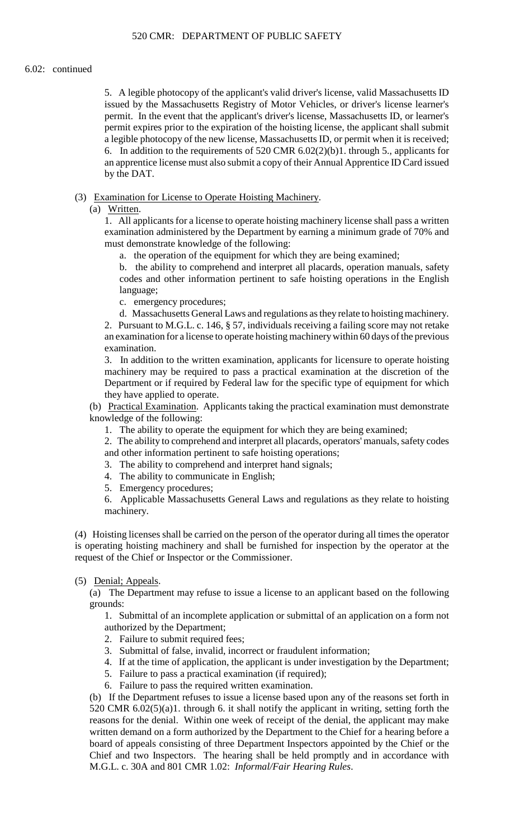#### 6.02: continued

 5. A legible photocopy of the applicant's valid driver's license, valid Massachusetts ID 6. In addition to the requirements of 520 CMR 6.02(2)(b)1. through 5., applicants for issued by the Massachusetts Registry of Motor Vehicles, or driver's license learner's permit. In the event that the applicant's driver's license, Massachusetts ID, or learner's permit expires prior to the expiration of the hoisting license, the applicant shall submit a legible photocopy of the new license, Massachusetts ID, or permit when it is received; an apprentice license must also submit a copy of their Annual Apprentice ID Card issued by the DAT.

#### (3) Examination for License to Operate Hoisting Machinery.

(a) Written.

 examination administered by the Department by earning a minimum grade of 70% and 1. All applicants for a license to operate hoisting machinery license shall pass a written must demonstrate knowledge of the following:

a. the operation of the equipment for which they are being examined;

b. the ability to comprehend and interpret all placards, operation manuals, safety codes and other information pertinent to safe hoisting operations in the English language;

c. emergency procedures;

 d. Massachusetts General Laws and regulations as they relate to hoisting machinery. 2. Pursuant to M.G.L. c. 146, § 57, individuals receiving a failing score may not retake an examination for a license to operate hoisting machinery within 60 days of the previous examination.

3. In addition to the written examination, applicants for licensure to operate hoisting machinery may be required to pass a practical examination at the discretion of the Department or if required by Federal law for the specific type of equipment for which they have applied to operate.

(b) Practical Examination. Applicants taking the practical examination must demonstrate knowledge of the following:

1. The ability to operate the equipment for which they are being examined;

2. The ability to comprehend and interpret all placards, operators' manuals, safety codes and other information pertinent to safe hoisting operations;

- 3. The ability to comprehend and interpret hand signals;
- 4. The ability to communicate in English;
- 5. Emergency procedures;

6. Applicable Massachusetts General Laws and regulations as they relate to hoisting machinery.

(4) Hoisting licenses shall be carried on the person of the operator during all times the operator is operating hoisting machinery and shall be furnished for inspection by the operator at the request of the Chief or Inspector or the Commissioner.

#### (5) Denial; Appeals.

(a) The Department may refuse to issue a license to an applicant based on the following grounds:

1. Submittal of an incomplete application or submittal of an application on a form not authorized by the Department;

- 2. Failure to submit required fees;
- 3. Submittal of false, invalid, incorrect or fraudulent information;
- 4. If at the time of application, the applicant is under investigation by the Department;
- 5. Failure to pass a practical examination (if required);
- 6. Failure to pass the required written examination.

(b) If the Department refuses to issue a license based upon any of the reasons set forth in 520 CMR 6.02(5)(a)1. through 6. it shall notify the applicant in writing, setting forth the reasons for the denial. Within one week of receipt of the denial, the applicant may make written demand on a form authorized by the Department to the Chief for a hearing before a board of appeals consisting of three Department Inspectors appointed by the Chief or the Chief and two Inspectors. The hearing shall be held promptly and in accordance with M.G.L. c. 30A and 801 CMR 1.02: *Informal/Fair Hearing Rules*.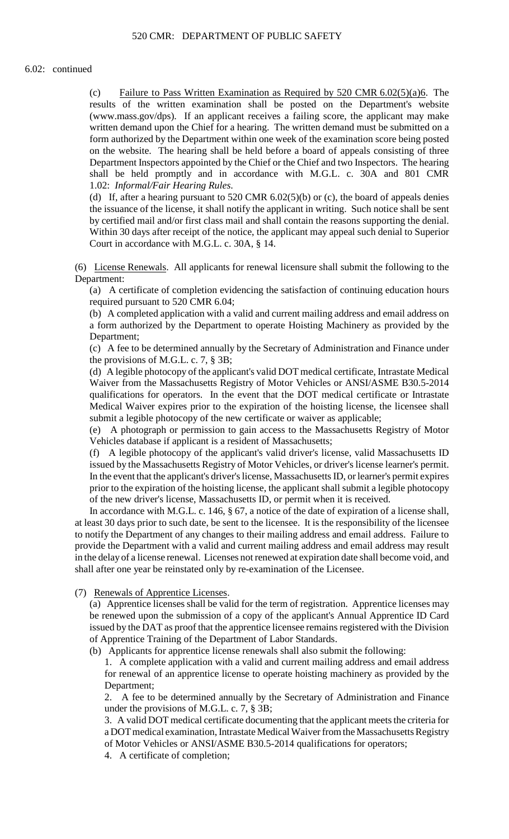$(c)$ Failure to Pass Written Examination as Required by 520 CMR  $6.02(5)(a)6$ . The results of the written examination shall be posted on the Department's website (www.mass.gov/dps). If an applicant receives a failing score, the applicant may make written demand upon the Chief for a hearing. The written demand must be submitted on a form authorized by the Department within one week of the examination score being posted on the website. The hearing shall be held before a board of appeals consisting of three Department Inspectors appointed by the Chief or the Chief and two Inspectors. The hearing shall be held promptly and in accordance with M.G.L. c. 30A and 801 CMR 1.02: *Informal/Fair Hearing Rules*.

(d) If, after a hearing pursuant to 520 CMR 6.02(5)(b) or (c), the board of appeals denies the issuance of the license, it shall notify the applicant in writing. Such notice shall be sent by certified mail and/or first class mail and shall contain the reasons supporting the denial. Within 30 days after receipt of the notice, the applicant may appeal such denial to Superior Court in accordance with M.G.L. c. 30A, § 14.

(6) License Renewals. All applicants for renewal licensure shall submit the following to the Department:

(a) A certificate of completion evidencing the satisfaction of continuing education hours required pursuant to 520 CMR 6.04;

 a form authorized by the Department to operate Hoisting Machinery as provided by the (b) A completed application with a valid and current mailing address and email address on Department;

(c) A fee to be determined annually by the Secretary of Administration and Finance under the provisions of M.G.L. c. 7, § 3B;

(d) A legible photocopy of the applicant's valid DOT medical certificate, Intrastate Medical Waiver from the Massachusetts Registry of Motor Vehicles or ANSI/ASME B30.5-2014 qualifications for operators. In the event that the DOT medical certificate or Intrastate Medical Waiver expires prior to the expiration of the hoisting license, the licensee shall submit a legible photocopy of the new certificate or waiver as applicable;

(e) A photograph or permission to gain access to the Massachusetts Registry of Motor Vehicles database if applicant is a resident of Massachusetts;

(f) A legible photocopy of the applicant's valid driver's license, valid Massachusetts ID issued by the Massachusetts Registry of Motor Vehicles, or driver's license learner's permit. In the event that the applicant's driver's license, Massachusetts ID, or learner's permit expires prior to the expiration of the hoisting license, the applicant shall submit a legible photocopy of the new driver's license, Massachusetts ID, or permit when it is received.

 provide the Department with a valid and current mailing address and email address may result In accordance with M.G.L. c. 146, § 67, a notice of the date of expiration of a license shall, at least 30 days prior to such date, be sent to the licensee. It is the responsibility of the licensee to notify the Department of any changes to their mailing address and email address. Failure to in the delay of a license renewal. Licenses not renewed at expiration date shall become void, and shall after one year be reinstated only by re-examination of the Licensee.

(7) Renewals of Apprentice Licenses.

(a) Apprentice licenses shall be valid for the term of registration. Apprentice licenses may be renewed upon the submission of a copy of the applicant's Annual Apprentice ID Card issued by the DAT as proof that the apprentice licensee remains registered with the Division of Apprentice Training of the Department of Labor Standards.

(b) Applicants for apprentice license renewals shall also submit the following:

1. A complete application with a valid and current mailing address and email address for renewal of an apprentice license to operate hoisting machinery as provided by the Department:

2. A fee to be determined annually by the Secretary of Administration and Finance under the provisions of M.G.L. c. 7, § 3B;

3. A valid DOT medical certificate documenting that the applicant meets the criteria for a DOT medical examination, Intrastate Medical Waiver from the Massachusetts Registry of Motor Vehicles or ANSI/ASME B30.5-2014 qualifications for operators;

4. A certificate of completion;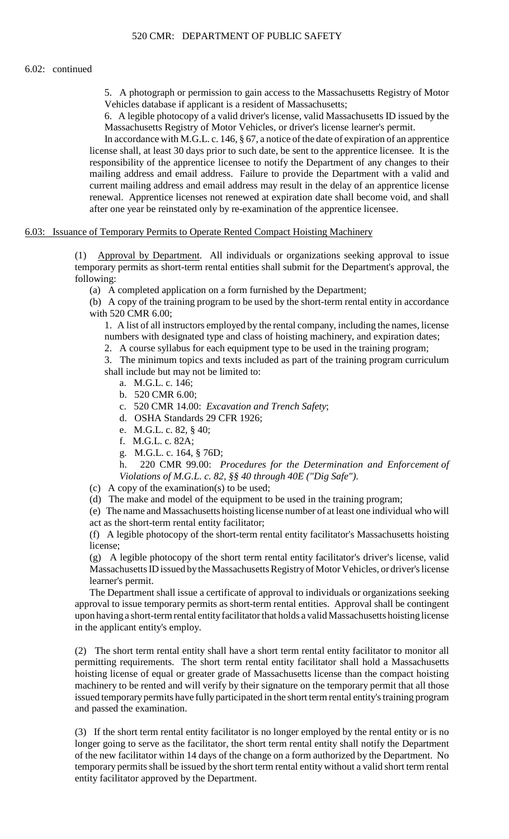5. A photograph or permission to gain access to the Massachusetts Registry of Motor Vehicles database if applicant is a resident of Massachusetts;

6. A legible photocopy of a valid driver's license, valid Massachusetts ID issued by the Massachusetts Registry of Motor Vehicles, or driver's license learner's permit.

In accordance with M.G.L. c. 146, § 67, a notice of the date of expiration of an apprentice license shall, at least 30 days prior to such date, be sent to the apprentice licensee. It is the responsibility of the apprentice licensee to notify the Department of any changes to their mailing address and email address. Failure to provide the Department with a valid and current mailing address and email address may result in the delay of an apprentice license renewal. Apprentice licenses not renewed at expiration date shall become void, and shall after one year be reinstated only by re-examination of the apprentice licensee.

#### 6.03: Issuance of Temporary Permits to Operate Rented Compact Hoisting Machinery

(1) Approval by Department. All individuals or organizations seeking approval to issue temporary permits as short-term rental entities shall submit for the Department's approval, the following:

(a) A completed application on a form furnished by the Department;

 (b) A copy of the training program to be used by the short-term rental entity in accordance with 520 CMR 6.00;

 1. A list of all instructors employed by the rental company, including the names, license numbers with designated type and class of hoisting machinery, and expiration dates;

2. A course syllabus for each equipment type to be used in the training program;

3. The minimum topics and texts included as part of the training program curriculum shall include but may not be limited to:

- a. M.G.L. c. 146;
- b. 520 CMR 6.00;
- c. 520 CMR 14.00: *Excavation and Trench Safety*;
- d. OSHA Standards 29 CFR 1926;
- e. M.G.L. c. 82, § 40;
- f. M.G.L. c. 82A;
- g. M.G.L. c. 164, § 76D;

h. 220 CMR 99.00: *Procedures for the Determination and Enforcement of Violations of M.G.L. c. 82, §§ 40 through 40E ("Dig Safe")*.

(c) A copy of the examination(s) to be used;

(d) The make and model of the equipment to be used in the training program;

 (e) The name and Massachusetts hoisting license number of at least one individual who will act as the short-term rental entity facilitator;

(f) A legible photocopy of the short-term rental entity facilitator's Massachusetts hoisting license;

(g) A legible photocopy of the short term rental entity facilitator's driver's license, valid Massachusetts ID issued by the Massachusetts Registry of Motor Vehicles, or driver's license learner's permit.

The Department shall issue a certificate of approval to individuals or organizations seeking approval to issue temporary permits as short-term rental entities. Approval shall be contingent upon having a short-term rental entity facilitator that holds a valid Massachusetts hoisting license in the applicant entity's employ.

 machinery to be rented and will verify by their signature on the temporary permit that all those (2) The short term rental entity shall have a short term rental entity facilitator to monitor all permitting requirements. The short term rental entity facilitator shall hold a Massachusetts hoisting license of equal or greater grade of Massachusetts license than the compact hoisting issued temporary permits have fully participated in the short term rental entity's training program and passed the examination.

(3) If the short term rental entity facilitator is no longer employed by the rental entity or is no longer going to serve as the facilitator, the short term rental entity shall notify the Department of the new facilitator within 14 days of the change on a form authorized by the Department. No temporary permits shall be issued by the short term rental entity without a valid short term rental entity facilitator approved by the Department.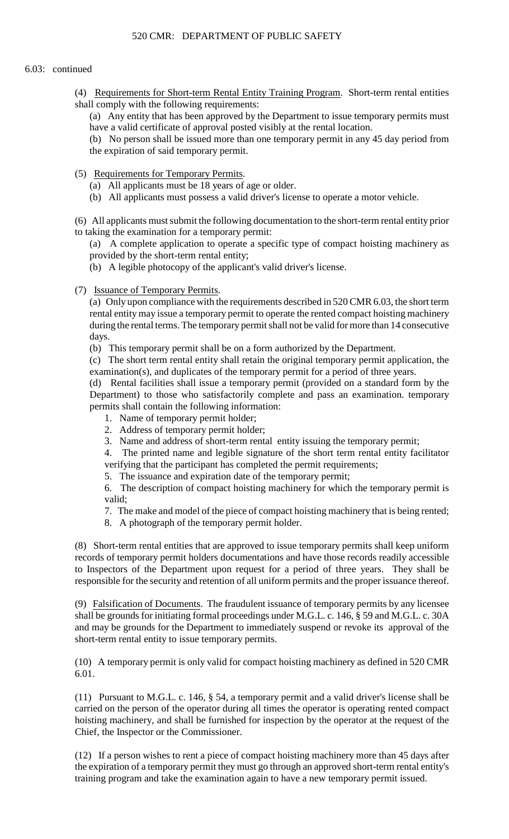#### 6.03: continued

(4) Requirements for Short-term Rental Entity Training Program. Short-term rental entities shall comply with the following requirements:

(a) Any entity that has been approved by the Department to issue temporary permits must have a valid certificate of approval posted visibly at the rental location.

(b) No person shall be issued more than one temporary permit in any 45 day period from the expiration of said temporary permit.

- (5) Requirements for Temporary Permits.
	- (a) All applicants must be 18 years of age or older.
	- (b) All applicants must possess a valid driver's license to operate a motor vehicle.

(6) All applicants must submit the following documentation to the short-term rental entity prior to taking the examination for a temporary permit:

(a) A complete application to operate a specific type of compact hoisting machinery as provided by the short-term rental entity;

- (b) A legible photocopy of the applicant's valid driver's license.
- (7) Issuance of Temporary Permits.

 (a) Only upon compliance with the requirements described in 520 CMR 6.03, the short term rental entity may issue a temporary permit to operate the rented compact hoisting machinery during the rental terms. The temporary permit shall not be valid for more than 14 consecutive days.

(b) This temporary permit shall be on a form authorized by the Department.

(c) The short term rental entity shall retain the original temporary permit application, the examination(s), and duplicates of the temporary permit for a period of three years.

(d) Rental facilities shall issue a temporary permit (provided on a standard form by the Department) to those who satisfactorily complete and pass an examination. temporary permits shall contain the following information:

- 1. Name of temporary permit holder;
- 2. Address of temporary permit holder;
- 3. Name and address of short-term rental entity issuing the temporary permit;

4. The printed name and legible signature of the short term rental entity facilitator verifying that the participant has completed the permit requirements;

5. The issuance and expiration date of the temporary permit;

6. The description of compact hoisting machinery for which the temporary permit is valid;

7. The make and model of the piece of compact hoisting machinery that is being rented;

8. A photograph of the temporary permit holder.

(8) Short-term rental entities that are approved to issue temporary permits shall keep uniform records of temporary permit holders documentations and have those records readily accessible to Inspectors of the Department upon request for a period of three years. They shall be responsible for the security and retention of all uniform permits and the proper issuance thereof.

 (9) Falsification of Documents. The fraudulent issuance of temporary permits by any licensee shall be grounds for initiating formal proceedings under M.G.L. c. 146, § 59 and M.G.L. c. 30A and may be grounds for the Department to immediately suspend or revoke its approval of the short-term rental entity to issue temporary permits.

(10) A temporary permit is only valid for compact hoisting machinery as defined in 520 CMR 6.01.

 hoisting machinery, and shall be furnished for inspection by the operator at the request of the (11) Pursuant to M.G.L. c. 146, § 54, a temporary permit and a valid driver's license shall be carried on the person of the operator during all times the operator is operating rented compact Chief, the Inspector or the Commissioner.

(12) If a person wishes to rent a piece of compact hoisting machinery more than 45 days after the expiration of a temporary permit they must go through an approved short-term rental entity's training program and take the examination again to have a new temporary permit issued.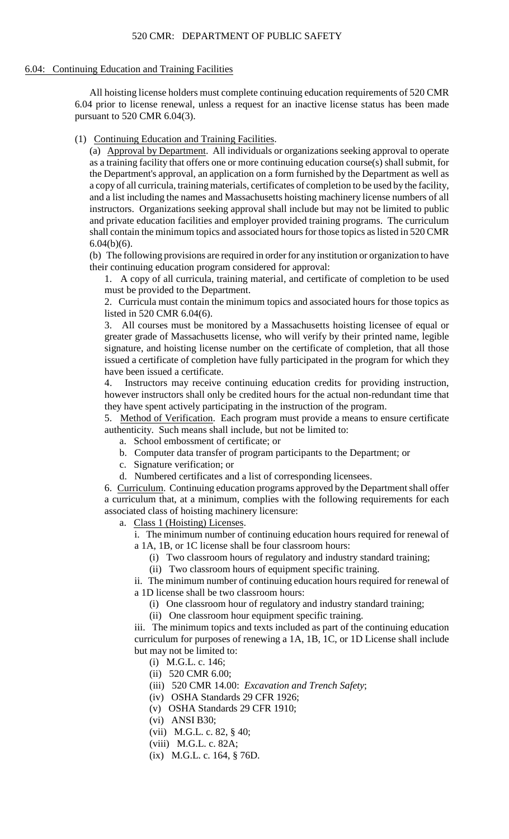#### 6.04: Continuing Education and Training Facilities

 All hoisting license holders must complete continuing education requirements of 520 CMR 6.04 prior to license renewal, unless a request for an inactive license status has been made pursuant to 520 CMR 6.04(3).

(1) Continuing Education and Training Facilities.

 instructors. Organizations seeking approval shall include but may not be limited to public (a) Approval by Department. All individuals or organizations seeking approval to operate as a training facility that offers one or more continuing education course(s) shall submit, for the Department's approval, an application on a form furnished by the Department as well as a copy of all curricula, training materials, certificates of completion to be used by the facility, and a list including the names and Massachusetts hoisting machinery license numbers of all and private education facilities and employer provided training programs. The curriculum shall contain the minimum topics and associated hours for those topics as listed in 520 CMR  $6.04(b)(6)$ .

(b) The following provisions are required in order for any institution or organization to have their continuing education program considered for approval:

 1. A copy of all curricula, training material, and certificate of completion to be used must be provided to the Department.

 2. Curricula must contain the minimum topics and associated hours for those topics as listed in 520 CMR 6.04(6).

3. All courses must be monitored by a Massachusetts hoisting licensee of equal or greater grade of Massachusetts license, who will verify by their printed name, legible signature, and hoisting license number on the certificate of completion, that all those issued a certificate of completion have fully participated in the program for which they have been issued a certificate.

 $\mathbf{A}$ Instructors may receive continuing education credits for providing instruction, however instructors shall only be credited hours for the actual non-redundant time that they have spent actively participating in the instruction of the program.

5. Method of Verification. Each program must provide a means to ensure certificate authenticity. Such means shall include, but not be limited to:

- a. School embossment of certificate; or
- b. Computer data transfer of program participants to the Department; or
- c. Signature verification; or
- d. Numbered certificates and a list of corresponding licensees.

6. Curriculum. Continuing education programs approved by the Department shall offer a curriculum that, at a minimum, complies with the following requirements for each associated class of hoisting machinery licensure:

a. Class 1 (Hoisting) Licenses.

- i. The minimum number of continuing education hours required for renewal of
- a 1A, 1B, or 1C license shall be four classroom hours:
	- (i) Two classroom hours of regulatory and industry standard training;
	- (ii) Two classroom hours of equipment specific training.

ii. The minimum number of continuing education hours required for renewal of a 1D license shall be two classroom hours:

- (i) One classroom hour of regulatory and industry standard training;
- (ii) One classroom hour equipment specific training.

iii. The minimum topics and texts included as part of the continuing education curriculum for purposes of renewing a 1A, 1B, 1C, or 1D License shall include but may not be limited to:

- (i) M.G.L. c. 146;
- (ii) 520 CMR 6.00;
- (iii) 520 CMR 14.00: *Excavation and Trench Safety*;
- (iv) OSHA Standards 29 CFR 1926;
- (v) OSHA Standards 29 CFR 1910;
- (vi) ANSI B30;
- (vii) M.G.L. c. 82, § 40;
- (viii) M.G.L. c. 82A;
- (ix) M.G.L. c. 164, § 76D.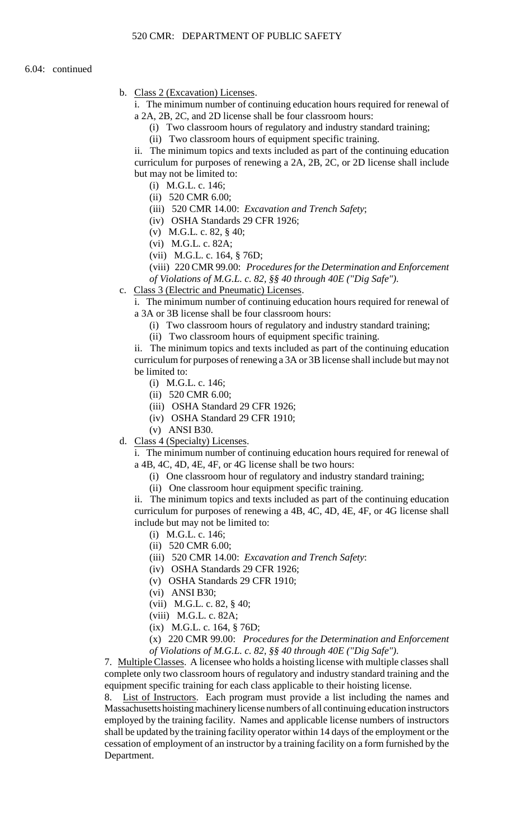- b. Class 2 (Excavation) Licenses.
	- i. The minimum number of continuing education hours required for renewal of a 2A, 2B, 2C, and 2D license shall be four classroom hours:
		- (i) Two classroom hours of regulatory and industry standard training;
		- (ii) Two classroom hours of equipment specific training.

ii. The minimum topics and texts included as part of the continuing education curriculum for purposes of renewing a 2A, 2B, 2C, or 2D license shall include but may not be limited to:

- (i) M.G.L. c. 146;
- (ii) 520 CMR 6.00;
- (iii) 520 CMR 14.00: *Excavation and Trench Safety*;
- (iv) OSHA Standards 29 CFR 1926;
- (v) M.G.L. c. 82, § 40;
- (vi) M.G.L. c. 82A;
- (vii) M.G.L. c. 164, § 76D;
- (viii) 220 CMR 99.00: *Procedures for the Determination and Enforcement of Violations of M.G.L. c. 82, §§ 40 through 40E ("Dig Safe")*.
- c. Class 3 (Electric and Pneumatic) Licenses.

i. The minimum number of continuing education hours required for renewal of a 3A or 3B license shall be four classroom hours:

- (i) Two classroom hours of regulatory and industry standard training;
- (ii) Two classroom hours of equipment specific training.

ii. The minimum topics and texts included as part of the continuing education curriculum for purposes of renewing a 3A or 3B license shall include but may not be limited to:

- (i) M.G.L. c. 146;
- (ii) 520 CMR 6.00;
- (iii) OSHA Standard 29 CFR 1926;
- (iv) OSHA Standard 29 CFR 1910;
- (v) ANSI B30.
- d. Class 4 (Specialty) Licenses.

i. The minimum number of continuing education hours required for renewal of a 4B, 4C, 4D, 4E, 4F, or 4G license shall be two hours:

- (i) One classroom hour of regulatory and industry standard training;
- (ii) One classroom hour equipment specific training.

ii. The minimum topics and texts included as part of the continuing education curriculum for purposes of renewing a 4B, 4C, 4D, 4E, 4F, or 4G license shall include but may not be limited to:

- (i) M.G.L. c. 146;
- (ii) 520 CMR 6.00;
- (iii) 520 CMR 14.00: *Excavation and Trench Safety*:
- (iv) OSHA Standards 29 CFR 1926;
- (v) OSHA Standards 29 CFR 1910;
- (vi) ANSI B30;
- (vii) M.G.L. c. 82, § 40;
- (viii) M.G.L. c. 82A;
- (ix) M.G.L. c. 164, § 76D;
- (x) 220 CMR 99.00: *Procedures for the Determination and Enforcement of Violations of M.G.L. c. 82, §§ 40 through 40E ("Dig Safe")*.

7. Multiple Classes. A licensee who holds a hoisting license with multiple classes shall complete only two classroom hours of regulatory and industry standard training and the equipment specific training for each class applicable to their hoisting license.

 employed by the training facility. Names and applicable license numbers of instructors cessation of employment of an instructor by a training facility on a form furnished by the 8. List of Instructors. Each program must provide a list including the names and Massachusetts hoisting machinery license numbers of all continuing education instructors shall be updated by the training facility operator within 14 days of the employment or the Department.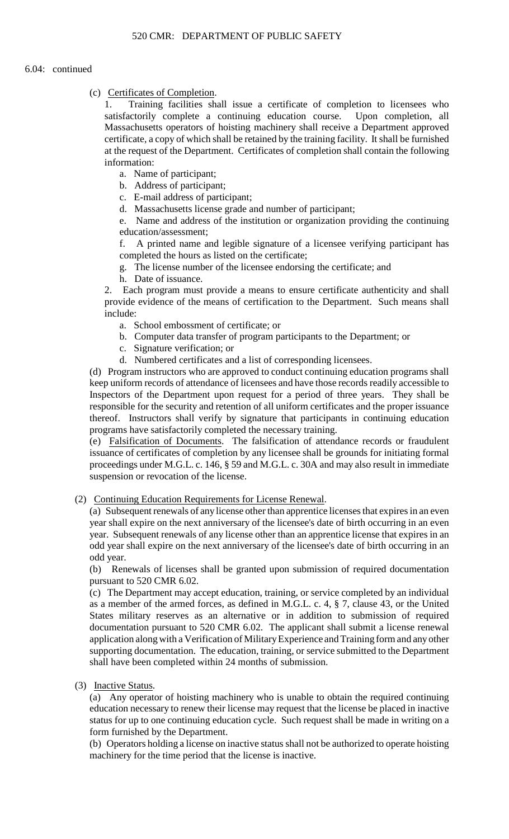(c) Certificates of Completion.

 certificate, a copy of which shall be retained by the training facility. It shall be furnished 1. Training facilities shall issue a certificate of completion to licensees who satisfactorily complete a continuing education course. Upon completion, all Massachusetts operators of hoisting machinery shall receive a Department approved at the request of the Department. Certificates of completion shall contain the following information:

- a. Name of participant;
- b. Address of participant;
- c. E-mail address of participant;
- d. Massachusetts license grade and number of participant;

e. Name and address of the institution or organization providing the continuing education/assessment;

f. A printed name and legible signature of a licensee verifying participant has completed the hours as listed on the certificate;

- g. The license number of the licensee endorsing the certificate; and
- h. Date of issuance.

2. Each program must provide a means to ensure certificate authenticity and shall provide evidence of the means of certification to the Department. Such means shall include:

- a. School embossment of certificate; or
- b. Computer data transfer of program participants to the Department; or
- c. Signature verification; or
- d. Numbered certificates and a list of corresponding licensees.

 keep uniform records of attendance of licensees and have those records readily accessible to (d) Program instructors who are approved to conduct continuing education programs shall Inspectors of the Department upon request for a period of three years. They shall be responsible for the security and retention of all uniform certificates and the proper issuance thereof. Instructors shall verify by signature that participants in continuing education programs have satisfactorily completed the necessary training.

 issuance of certificates of completion by any licensee shall be grounds for initiating formal proceedings under M.G.L. c. 146, § 59 and M.G.L. c. 30A and may also result in immediate (e) Falsification of Documents. The falsification of attendance records or fraudulent suspension or revocation of the license.

(2) Continuing Education Requirements for License Renewal.

(a) Subsequent renewals of any license other than apprentice licenses that expires in an even year shall expire on the next anniversary of the licensee's date of birth occurring in an even year. Subsequent renewals of any license other than an apprentice license that expires in an odd year shall expire on the next anniversary of the licensee's date of birth occurring in an odd year.

(b) Renewals of licenses shall be granted upon submission of required documentation pursuant to 520 CMR 6.02.

 (c) The Department may accept education, training, or service completed by an individual as a member of the armed forces, as defined in M.G.L. c. 4, § 7, clause 43, or the United States military reserves as an alternative or in addition to submission of required documentation pursuant to 520 CMR 6.02. The applicant shall submit a license renewal application along with a Verification of Military Experience and Training form and any other supporting documentation. The education, training, or service submitted to the Department shall have been completed within 24 months of submission.

(3) Inactive Status.

(a) Any operator of hoisting machinery who is unable to obtain the required continuing education necessary to renew their license may request that the license be placed in inactive status for up to one continuing education cycle. Such request shall be made in writing on a form furnished by the Department.

(b) Operators holding a license on inactive status shall not be authorized to operate hoisting machinery for the time period that the license is inactive.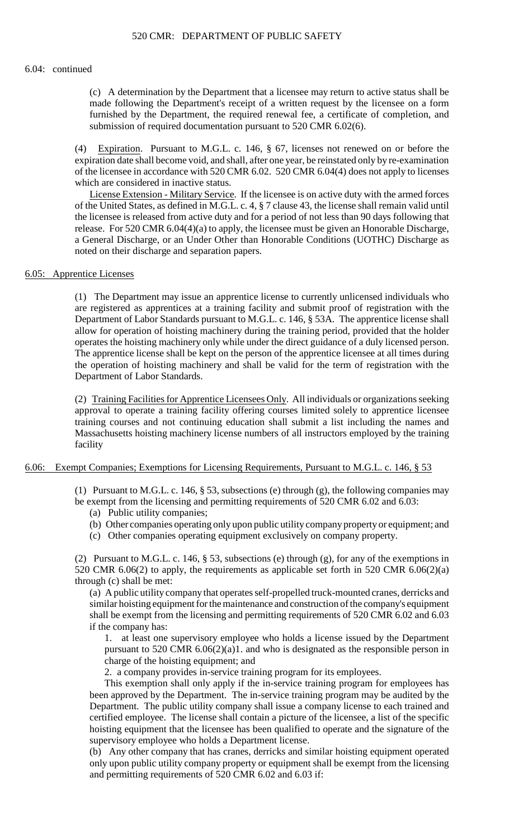#### 6.04: continued

(c) A determination by the Department that a licensee may return to active status shall be made following the Department's receipt of a written request by the licensee on a form furnished by the Department, the required renewal fee, a certificate of completion, and submission of required documentation pursuant to 520 CMR 6.02(6).

(4) Expiration. Pursuant to M.G.L. c. 146, § 67, licenses not renewed on or before the expiration date shall become void, and shall, after one year, be reinstated only by re-examination of the licensee in accordance with 520 CMR 6.02. 520 CMR 6.04(4) does not apply to licenses which are considered in inactive status.

 License Extension - Military Service. If the licensee is on active duty with the armed forces of the United States, as defined in M.G.L. c. 4, § 7 clause 43, the license shall remain valid until the licensee is released from active duty and for a period of not less than 90 days following that release. For 520 CMR 6.04(4)(a) to apply, the licensee must be given an Honorable Discharge, a General Discharge, or an Under Other than Honorable Conditions (UOTHC) Discharge as noted on their discharge and separation papers.

#### 6.05: Apprentice Licenses

(1) The Department may issue an apprentice license to currently unlicensed individuals who are registered as apprentices at a training facility and submit proof of registration with the Department of Labor Standards pursuant to M.G.L. c. 146, § 53A. The apprentice license shall allow for operation of hoisting machinery during the training period, provided that the holder operates the hoisting machinery only while under the direct guidance of a duly licensed person. The apprentice license shall be kept on the person of the apprentice licensee at all times during the operation of hoisting machinery and shall be valid for the term of registration with the Department of Labor Standards.

 training courses and not continuing education shall submit a list including the names and (2) Training Facilities for Apprentice Licensees Only. All individuals or organizations seeking approval to operate a training facility offering courses limited solely to apprentice licensee Massachusetts hoisting machinery license numbers of all instructors employed by the training facility

#### 6.06: Exempt Companies; Exemptions for Licensing Requirements, Pursuant to M.G.L. c. 146, § 53

(1) Pursuant to M.G.L. c. 146, § 53, subsections (e) through (g), the following companies may be exempt from the licensing and permitting requirements of 520 CMR 6.02 and 6.03:

- (a) Public utility companies;
- (b) Other companies operating only upon public utility companyproperty or equipment; and
- (c) Other companies operating equipment exclusively on company property.

 (2) Pursuant to M.G.L. c. 146, § 53, subsections (e) through (g), for any of the exemptions in 520 CMR 6.06(2) to apply, the requirements as applicable set forth in 520 CMR 6.06(2)(a) through (c) shall be met:

 (a) A public utility companythat operates self-propelled truck-mounted cranes, derricks and similar hoisting equipment for the maintenance and construction of the company's equipment shall be exempt from the licensing and permitting requirements of 520 CMR 6.02 and 6.03 if the company has:

1. at least one supervisory employee who holds a license issued by the Department pursuant to 520 CMR 6.06(2)(a)1. and who is designated as the responsible person in charge of the hoisting equipment; and

2. a company provides in-service training program for its employees.

 certified employee. The license shall contain a picture of the licensee, a list of the specific This exemption shall only apply if the in-service training program for employees has been approved by the Department. The in-service training program may be audited by the Department. The public utility company shall issue a company license to each trained and hoisting equipment that the licensee has been qualified to operate and the signature of the supervisory employee who holds a Department license.

 only upon public utility company property or equipment shall be exempt from the licensing (b) Any other company that has cranes, derricks and similar hoisting equipment operated and permitting requirements of 520 CMR 6.02 and 6.03 if: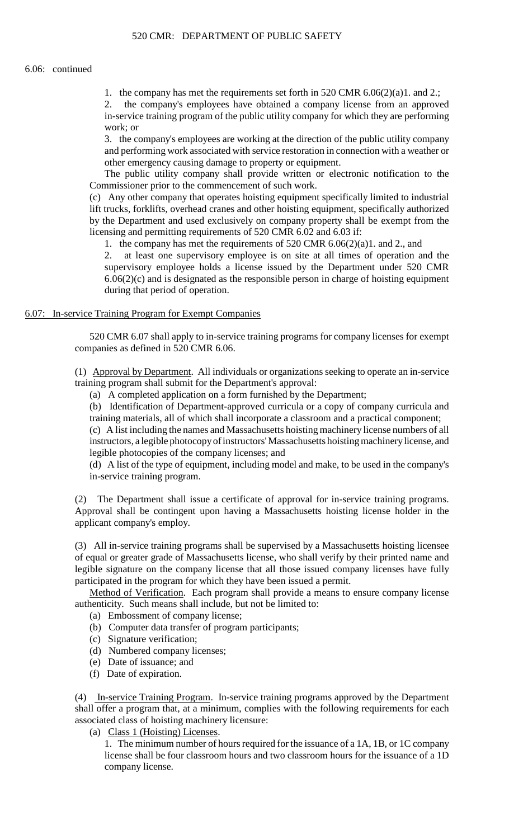#### 6.06: continued

1. the company has met the requirements set forth in 520 CMR 6.06(2)(a)1. and 2.;

2. the company's employees have obtained a company license from an approved in-service training program of the public utility company for which they are performing work; or

 3. the company's employees are working at the direction of the public utility company and performing work associated with service restoration in connection with a weather or other emergency causing damage to property or equipment.

The public utility company shall provide written or electronic notification to the Commissioner prior to the commencement of such work.

 (c) Any other company that operates hoisting equipment specifically limited to industrial lift trucks, forklifts, overhead cranes and other hoisting equipment, specifically authorized by the Department and used exclusively on company property shall be exempt from the licensing and permitting requirements of 520 CMR 6.02 and 6.03 if:

1. the company has met the requirements of 520 CMR 6.06(2)(a)1. and 2., and

2. at least one supervisory employee is on site at all times of operation and the supervisory employee holds a license issued by the Department under 520 CMR 6.06(2)(c) and is designated as the responsible person in charge of hoisting equipment during that period of operation.

## 6.07: In-service Training Program for Exempt Companies

 520 CMR 6.07 shall apply to in-service training programs for company licenses for exempt companies as defined in 520 CMR 6.06.

(1) Approval by Department. All individuals or organizations seeking to operate an in-service training program shall submit for the Department's approval:

(a) A completed application on a form furnished by the Department;

(b) Identification of Department-approved curricula or a copy of company curricula and training materials, all of which shall incorporate a classroom and a practical component;

 (c) A list including the names and Massachusetts hoisting machinery license numbers of all instructors, a legible photocopy of instructors' Massachusetts hoisting machinery license, and legible photocopies of the company licenses; and

(d) A list of the type of equipment, including model and make, to be used in the company's in-service training program.

(2) The Department shall issue a certificate of approval for in-service training programs. Approval shall be contingent upon having a Massachusetts hoisting license holder in the applicant company's employ.

(3) All in-service training programs shall be supervised by a Massachusetts hoisting licensee of equal or greater grade of Massachusetts license, who shall verify by their printed name and legible signature on the company license that all those issued company licenses have fully participated in the program for which they have been issued a permit.

Method of Verification. Each program shall provide a means to ensure company license authenticity. Such means shall include, but not be limited to:

- (a) Embossment of company license;
- (b) Computer data transfer of program participants;
- (c) Signature verification;
- (d) Numbered company licenses;
- (e) Date of issuance; and
- (f) Date of expiration.

(4) In-service Training Program. In-service training programs approved by the Department shall offer a program that, at a minimum, complies with the following requirements for each associated class of hoisting machinery licensure:

(a) Class 1 (Hoisting) Licenses.

1. The minimum number of hours required for the issuance of a 1A, 1B, or 1C company license shall be four classroom hours and two classroom hours for the issuance of a 1D company license.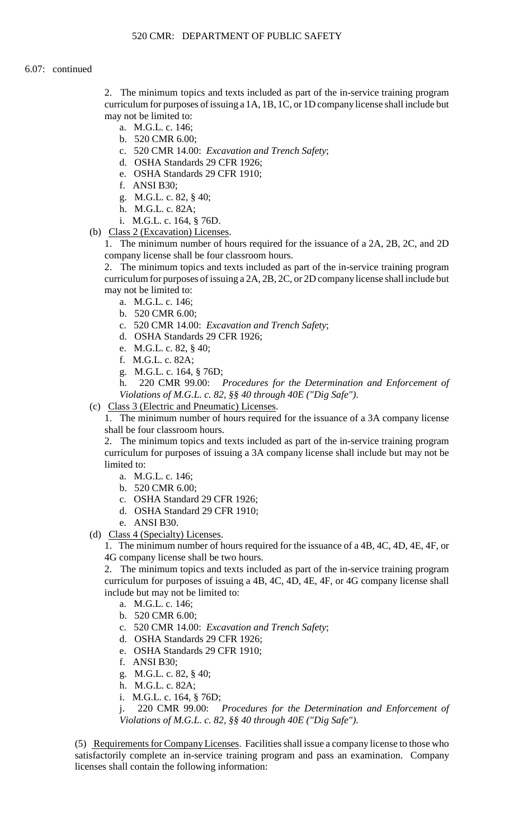2. The minimum topics and texts included as part of the in-service training program curriculum for purposes of issuing a 1A, 1B, 1C, or 1D company license shall include but may not be limited to:

- a. M.G.L. c. 146;
- b. 520 CMR 6.00;
- c. 520 CMR 14.00: *Excavation and Trench Safety*;
- d. OSHA Standards 29 CFR 1926;
- e. OSHA Standards 29 CFR 1910;
- f. ANSI B30;
- g. M.G.L. c. 82, § 40;
- h. M.G.L. c. 82A;
- i. M.G.L. c. 164, § 76D.
- (b) Class 2 (Excavation) Licenses.

1. The minimum number of hours required for the issuance of a 2A, 2B, 2C, and 2D company license shall be four classroom hours.

2. The minimum topics and texts included as part of the in-service training program curriculum for purposes of issuing a 2A, 2B, 2C, or 2D company license shall include but may not be limited to:

- a. M.G.L. c. 146;
- b. 520 CMR 6.00;
- c. 520 CMR 14.00: *Excavation and Trench Safety*;
- d. OSHA Standards 29 CFR 1926;
- e. M.G.L. c. 82, § 40;
- f. M.G.L. c. 82A;
- g. M.G.L. c. 164, § 76D;

h. 220 CMR 99.00: *Procedures for the Determination and Enforcement of Violations of M.G.L. c. 82, §§ 40 through 40E ("Dig Safe")*.

(c) Class 3 (Electric and Pneumatic) Licenses.

1. The minimum number of hours required for the issuance of a 3A company license shall be four classroom hours.

 2. The minimum topics and texts included as part of the in-service training program curriculum for purposes of issuing a 3A company license shall include but may not be limited to:

- a. M.G.L. c. 146;
- b. 520 CMR 6.00;
- c. OSHA Standard 29 CFR 1926;
- d. OSHA Standard 29 CFR 1910;
- e. ANSI B30.
- (d) Class 4 (Specialty) Licenses.

1. The minimum number of hours required for the issuance of a 4B, 4C, 4D, 4E, 4F, or 4G company license shall be two hours.

 curriculum for purposes of issuing a 4B, 4C, 4D, 4E, 4F, or 4G company license shall 2. The minimum topics and texts included as part of the in-service training program include but may not be limited to:

- a. M.G.L. c. 146;
- b. 520 CMR 6.00;
- c. 520 CMR 14.00: *Excavation and Trench Safety*;
- d. OSHA Standards 29 CFR 1926;
- e. OSHA Standards 29 CFR 1910;
- f. ANSI B30;
- g. M.G.L. c. 82, § 40;
- h. M.G.L. c. 82A;
- i. M.G.L. c. 164, § 76D;

j. 220 CMR 99.00: *Procedures for the Determination and Enforcement of Violations of M.G.L. c. 82, §§ 40 through 40E ("Dig Safe")*.

(5) Requirements for Company Licenses. Facilities shall issue a company license to those who satisfactorily complete an in-service training program and pass an examination. Company licenses shall contain the following information: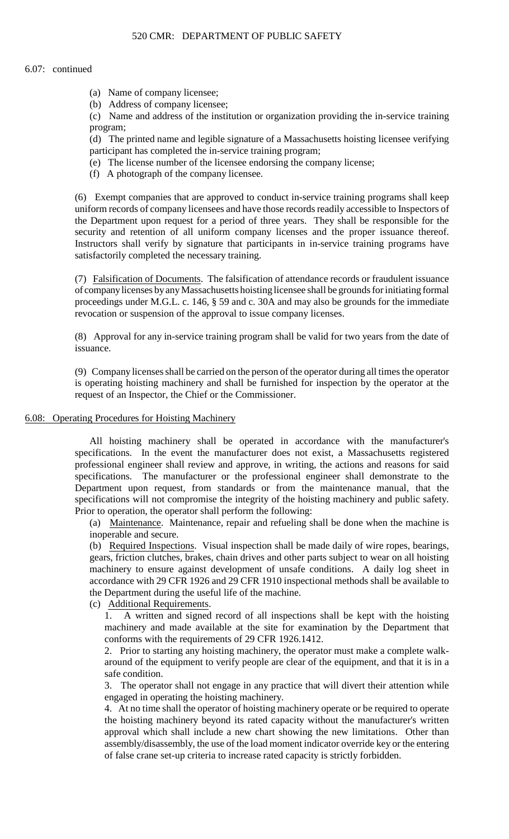#### 6.07: continued

- (a) Name of company licensee;
- (b) Address of company licensee;

 (c) Name and address of the institution or organization providing the in-service training program;

(d) The printed name and legible signature of a Massachusetts hoisting licensee verifying participant has completed the in-service training program;

- (e) The license number of the licensee endorsing the company license;
- (f) A photograph of the company licensee.

(6) Exempt companies that are approved to conduct in-service training programs shall keep uniform records of company licensees and have those records readily accessible to Inspectors of the Department upon request for a period of three years. They shall be responsible for the security and retention of all uniform company licenses and the proper issuance thereof. Instructors shall verify by signature that participants in in-service training programs have satisfactorily completed the necessary training.

 proceedings under M.G.L. c. 146, § 59 and c. 30A and may also be grounds for the immediate (7) Falsification of Documents. The falsification of attendance records or fraudulent issuance of company licenses by any Massachusetts hoisting licensee shall be grounds for initiating formal revocation or suspension of the approval to issue company licenses.

(8) Approval for any in-service training program shall be valid for two years from the date of issuance.

(9) Company licenses shall be carried on the person of the operator during all times the operator is operating hoisting machinery and shall be furnished for inspection by the operator at the request of an Inspector, the Chief or the Commissioner.

#### 6.08: Operating Procedures for Hoisting Machinery

 specifications will not compromise the integrity of the hoisting machinery and public safety. All hoisting machinery shall be operated in accordance with the manufacturer's specifications. In the event the manufacturer does not exist, a Massachusetts registered professional engineer shall review and approve, in writing, the actions and reasons for said specifications. The manufacturer or the professional engineer shall demonstrate to the Department upon request, from standards or from the maintenance manual, that the Prior to operation, the operator shall perform the following:

(a) Maintenance. Maintenance, repair and refueling shall be done when the machine is inoperable and secure.

 machinery to ensure against development of unsafe conditions. A daily log sheet in accordance with 29 CFR 1926 and 29 CFR 1910 inspectional methods shall be available to (b) Required Inspections. Visual inspection shall be made daily of wire ropes, bearings, gears, friction clutches, brakes, chain drives and other parts subject to wear on all hoisting the Department during the useful life of the machine.

#### (c) Additional Requirements.

 1. A written and signed record of all inspections shall be kept with the hoisting machinery and made available at the site for examination by the Department that conforms with the requirements of 29 CFR 1926.1412.

2. Prior to starting any hoisting machinery, the operator must make a complete walkaround of the equipment to verify people are clear of the equipment, and that it is in a safe condition.

3. The operator shall not engage in any practice that will divert their attention while engaged in operating the hoisting machinery.

 4. At no time shall the operator of hoisting machinery operate or be required to operate the hoisting machinery beyond its rated capacity without the manufacturer's written approval which shall include a new chart showing the new limitations. Other than assembly/disassembly, the use of the load moment indicator override key or the entering of false crane set-up criteria to increase rated capacity is strictly forbidden.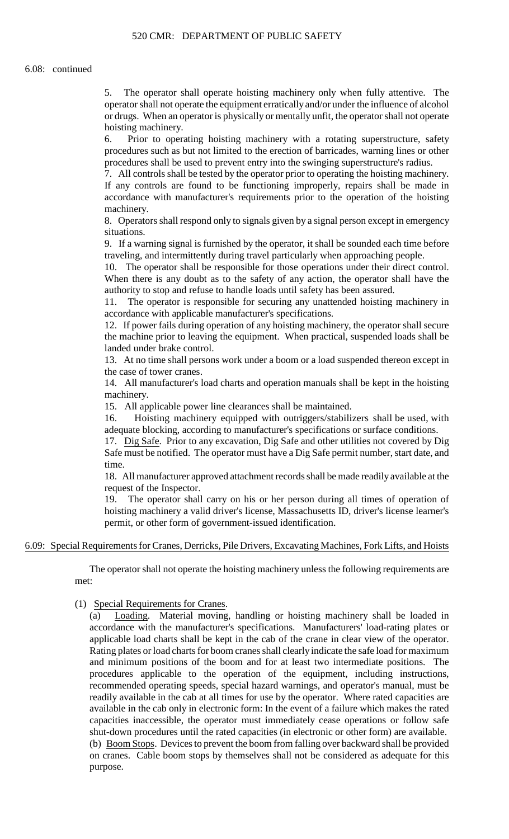5. The operator shall operate hoisting machinery only when fully attentive. The or drugs. When an operator is physically or mentally unfit, the operator shall not operate operator shall not operate the equipment erratically and/or under the influence of alcohol hoisting machinery.

6. Prior to operating hoisting machinery with a rotating superstructure, safety procedures such as but not limited to the erection of barricades, warning lines or other procedures shall be used to prevent entry into the swinging superstructure's radius.

 7. All controls shall be tested by the operator prior to operating the hoisting machinery. If any controls are found to be functioning improperly, repairs shall be made in accordance with manufacturer's requirements prior to the operation of the hoisting machinery.

8. Operators shall respond only to signals given by a signal person except in emergency situations.

9. If a warning signal is furnished by the operator, it shall be sounded each time before traveling, and intermittently during travel particularly when approaching people.

10. The operator shall be responsible for those operations under their direct control. When there is any doubt as to the safety of any action, the operator shall have the authority to stop and refuse to handle loads until safety has been assured.

11. The operator is responsible for securing any unattended hoisting machinery in accordance with applicable manufacturer's specifications.

12. If power fails during operation of any hoisting machinery, the operator shall secure the machine prior to leaving the equipment. When practical, suspended loads shall be landed under brake control.

13. At no time shall persons work under a boom or a load suspended thereon except in the case of tower cranes.

14. All manufacturer's load charts and operation manuals shall be kept in the hoisting machinery.

15. All applicable power line clearances shall be maintained.

16. 16. Hoisting machinery equipped with outriggers/stabilizers shall be used, with adequate blocking, according to manufacturer's specifications or surface conditions.

17. Dig Safe. Prior to any excavation, Dig Safe and other utilities not covered by Dig Safe must be notified. The operator must have a Dig Safe permit number, start date, and time.

18. All manufacturer approved attachment records shall be made readily available at the request of the Inspector.

19. The operator shall carry on his or her person during all times of operation of hoisting machinery a valid driver's license, Massachusetts ID, driver's license learner's permit, or other form of government-issued identification.

#### 6.09: Special Requirements for Cranes, Derricks, Pile Drivers, Excavating Machines, Fork Lifts, and Hoists

The operator shall not operate the hoisting machinery unless the following requirements are met:

#### (1) Special Requirements for Cranes.

 available in the cab only in electronic form: In the event of a failure which makes the rated (a) Loading. Material moving, handling or hoisting machinery shall be loaded in accordance with the manufacturer's specifications. Manufacturers' load-rating plates or applicable load charts shall be kept in the cab of the crane in clear view of the operator. Rating plates or load charts for boom cranes shall clearly indicate the safe load for maximum and minimum positions of the boom and for at least two intermediate positions. The procedures applicable to the operation of the equipment, including instructions, recommended operating speeds, special hazard warnings, and operator's manual, must be readily available in the cab at all times for use by the operator. Where rated capacities are capacities inaccessible, the operator must immediately cease operations or follow safe shut-down procedures until the rated capacities (in electronic or other form) are available. (b) Boom Stops. Devices to prevent the boom from falling over backward shall be provided on cranes. Cable boom stops by themselves shall not be considered as adequate for this purpose.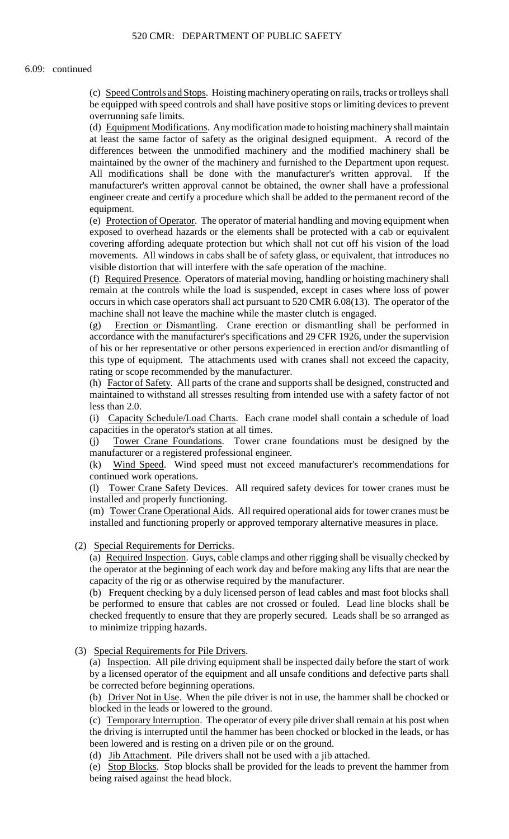(c) Speed Controls and Stops. Hoisting machinery operating on rails, tracks or trolleys shall be equipped with speed controls and shall have positive stops or limiting devices to prevent overrunning safe limits.

 All modifications shall be done with the manufacturer's written approval. If the (d) Equipment Modifications. Any modification made to hoisting machinery shall maintain at least the same factor of safety as the original designed equipment. A record of the differences between the unmodified machinery and the modified machinery shall be maintained by the owner of the machinery and furnished to the Department upon request. manufacturer's written approval cannot be obtained, the owner shall have a professional engineer create and certify a procedure which shall be added to the permanent record of the equipment.

(e) Protection of Operator. The operator of material handling and moving equipment when exposed to overhead hazards or the elements shall be protected with a cab or equivalent covering affording adequate protection but which shall not cut off his vision of the load movements. All windows in cabs shall be of safety glass, or equivalent, that introduces no visible distortion that will interfere with the safe operation of the machine.

 remain at the controls while the load is suspended, except in cases where loss of power (f) Required Presence. Operators of material moving, handling or hoisting machinery shall occurs in which case operators shall act pursuant to 520 CMR 6.08(13). The operator of the machine shall not leave the machine while the master clutch is engaged.

(g) Erection or Dismantling. Crane erection or dismantling shall be performed in accordance with the manufacturer's specifications and 29 CFR 1926, under the supervision of his or her representative or other persons experienced in erection and/or dismantling of this type of equipment. The attachments used with cranes shall not exceed the capacity, rating or scope recommended by the manufacturer.

(h) Factor of Safety. All parts of the crane and supports shall be designed, constructed and maintained to withstand all stresses resulting from intended use with a safety factor of not less than 2.0.

 (i) Capacity Schedule/Load Charts. Each crane model shall contain a schedule of load capacities in the operator's station at all times.

(j) Tower Crane Foundations. Tower crane foundations must be designed by the manufacturer or a registered professional engineer.

(k) Wind Speed. Wind speed must not exceed manufacturer's recommendations for continued work operations.

 (l) Tower Crane Safety Devices. All required safety devices for tower cranes must be installed and properly functioning.

(m) Tower Crane Operational Aids. All required operational aids for tower cranes must be installed and functioning properly or approved temporary alternative measures in place.

(2) Special Requirements for Derricks.

(a) Required Inspection. Guys, cable clamps and other rigging shall be visually checked by the operator at the beginning of each work day and before making any lifts that are near the capacity of the rig or as otherwise required by the manufacturer.

 be performed to ensure that cables are not crossed or fouled. Lead line blocks shall be (b) Frequent checking by a duly licensed person of lead cables and mast foot blocks shall checked frequently to ensure that they are properly secured. Leads shall be so arranged as to minimize tripping hazards.

(3) Special Requirements for Pile Drivers.

(a) Inspection. All pile driving equipment shall be inspected daily before the start of work by a licensed operator of the equipment and all unsafe conditions and defective parts shall be corrected before beginning operations.

(b) Driver Not in Use. When the pile driver is not in use, the hammer shall be chocked or blocked in the leads or lowered to the ground.

(c) Temporary Interruption. The operator of every pile driver shall remain at his post when the driving is interrupted until the hammer has been chocked or blocked in the leads, or has been lowered and is resting on a driven pile or on the ground.

(d) Jib Attachment. Pile drivers shall not be used with a jib attached.

(e) Stop Blocks. Stop blocks shall be provided for the leads to prevent the hammer from being raised against the head block.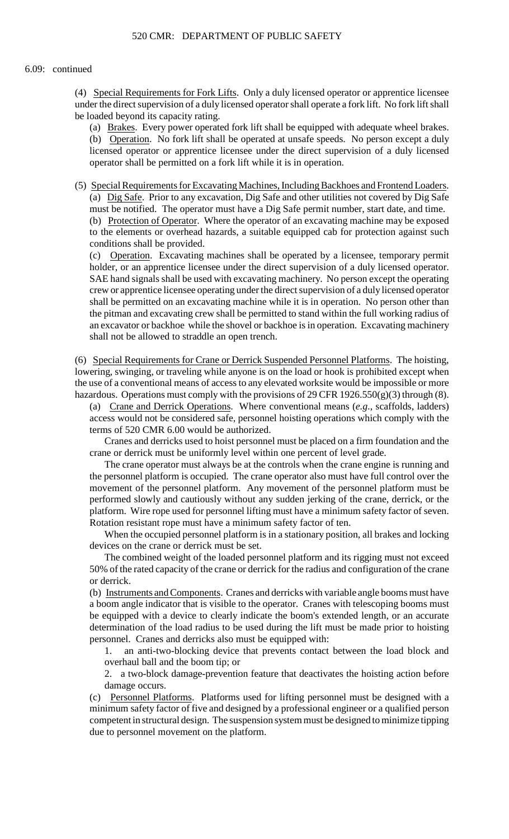(4) Special Requirements for Fork Lifts. Only a duly licensed operator or apprentice licensee under the direct supervision of a duly licensed operator shall operate a fork lift. No fork lift shall be loaded beyond its capacity rating.

(a) Brakes. Every power operated fork lift shall be equipped with adequate wheel brakes. (b) Operation. No fork lift shall be operated at unsafe speeds. No person except a duly licensed operator or apprentice licensee under the direct supervision of a duly licensed operator shall be permitted on a fork lift while it is in operation.

 to the elements or overhead hazards, a suitable equipped cab for protection against such (5) Special Requirements for Excavating Machines, Including Backhoes and Frontend Loaders. (a) Dig Safe. Prior to any excavation, Dig Safe and other utilities not covered by Dig Safe must be notified. The operator must have a Dig Safe permit number, start date, and time. (b) Protection of Operator. Where the operator of an excavating machine may be exposed conditions shall be provided.

 crew or apprentice licensee operating under the direct supervision of a duly licensed operator (c) Operation. Excavating machines shall be operated by a licensee, temporary permit holder, or an apprentice licensee under the direct supervision of a duly licensed operator. SAE hand signals shall be used with excavating machinery. No person except the operating shall be permitted on an excavating machine while it is in operation. No person other than the pitman and excavating crew shall be permitted to stand within the full working radius of an excavator or backhoe while the shovel or backhoe is in operation. Excavating machinery shall not be allowed to straddle an open trench.

 (6) Special Requirements for Crane or Derrick Suspended Personnel Platforms. The hoisting, lowering, swinging, or traveling while anyone is on the load or hook is prohibited except when the use of a conventional means of access to any elevated worksite would be impossible or more hazardous. Operations must comply with the provisions of 29 CFR 1926.550(g)(3) through (8).

(a) Crane and Derrick Operations. Where conventional means (*e.g*., scaffolds, ladders) access would not be considered safe, personnel hoisting operations which comply with the terms of 520 CMR 6.00 would be authorized.

Cranes and derricks used to hoist personnel must be placed on a firm foundation and the crane or derrick must be uniformly level within one percent of level grade.

 performed slowly and cautiously without any sudden jerking of the crane, derrick, or the The crane operator must always be at the controls when the crane engine is running and the personnel platform is occupied. The crane operator also must have full control over the movement of the personnel platform. Any movement of the personnel platform must be platform. Wire rope used for personnel lifting must have a minimum safety factor of seven. Rotation resistant rope must have a minimum safety factor of ten.

When the occupied personnel platform is in a stationary position, all brakes and locking devices on the crane or derrick must be set.

 50% of the rated capacity of the crane or derrick for the radius and configuration of the crane The combined weight of the loaded personnel platform and its rigging must not exceed or derrick.

 a boom angle indicator that is visible to the operator. Cranes with telescoping booms must (b) Instruments and Components. Cranes and derricks with variable angle booms must have be equipped with a device to clearly indicate the boom's extended length, or an accurate determination of the load radius to be used during the lift must be made prior to hoisting personnel. Cranes and derricks also must be equipped with:

1. an anti-two-blocking device that prevents contact between the load block and overhaul ball and the boom tip; or

2. a two-block damage-prevention feature that deactivates the hoisting action before damage occurs.

(c) Personnel Platforms. Platforms used for lifting personnel must be designed with a minimum safety factor of five and designed by a professional engineer or a qualified person competent in structural design. The suspension system must be designed to minimize tipping due to personnel movement on the platform.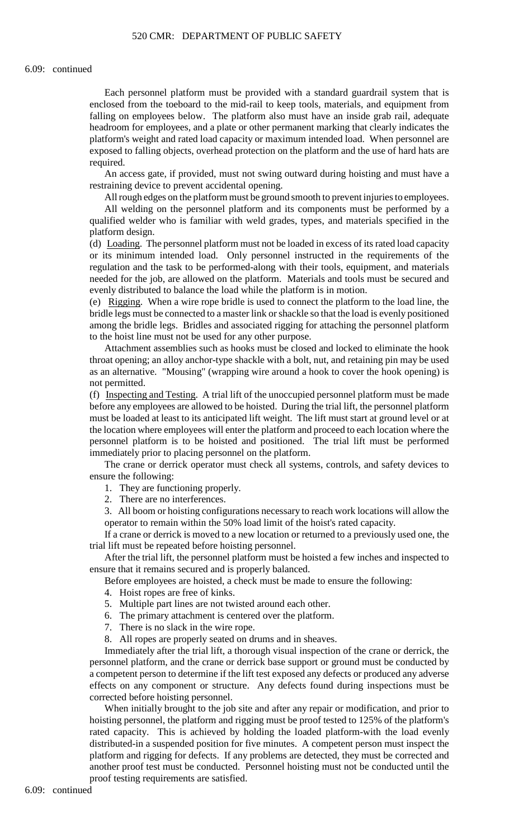#### 6.09: continued

 Each personnel platform must be provided with a standard guardrail system that is enclosed from the toeboard to the mid-rail to keep tools, materials, and equipment from falling on employees below. The platform also must have an inside grab rail, adequate headroom for employees, and a plate or other permanent marking that clearly indicates the platform's weight and rated load capacity or maximum intended load. When personnel are exposed to falling objects, overhead protection on the platform and the use of hard hats are required.

 An access gate, if provided, must not swing outward during hoisting and must have a restraining device to prevent accidental opening.

All rough edges on the platform must be ground smooth to prevent injuries to employees.

 All welding on the personnel platform and its components must be performed by a qualified welder who is familiar with weld grades, types, and materials specified in the platform design.

 or its minimum intended load. Only personnel instructed in the requirements of the regulation and the task to be performed-along with their tools, equipment, and materials (d) Loading. The personnel platform must not be loaded in excess of its rated load capacity needed for the job, are allowed on the platform. Materials and tools must be secured and evenly distributed to balance the load while the platform is in motion.

 (e) Rigging. When a wire rope bridle is used to connect the platform to the load line, the bridle legs must be connected to a master link or shackle so that the load is evenly positioned among the bridle legs. Bridles and associated rigging for attaching the personnel platform to the hoist line must not be used for any other purpose.

Attachment assemblies such as hooks must be closed and locked to eliminate the hook throat opening; an alloy anchor-type shackle with a bolt, nut, and retaining pin may be used as an alternative. "Mousing" (wrapping wire around a hook to cover the hook opening) is not permitted.

(f) Inspecting and Testing. A trial lift of the unoccupied personnel platform must be made before any employees are allowed to be hoisted. During the trial lift, the personnel platform must be loaded at least to its anticipated lift weight. The lift must start at ground level or at the location where employees will enter the platform and proceed to each location where the personnel platform is to be hoisted and positioned. The trial lift must be performed immediately prior to placing personnel on the platform.

The crane or derrick operator must check all systems, controls, and safety devices to ensure the following:

- 1. They are functioning properly.
- 2. There are no interferences.

 3. All boom or hoisting configurations necessary to reach work locations will allow the operator to remain within the 50% load limit of the hoist's rated capacity.

If a crane or derrick is moved to a new location or returned to a previously used one, the trial lift must be repeated before hoisting personnel.

After the trial lift, the personnel platform must be hoisted a few inches and inspected to ensure that it remains secured and is properly balanced.

Before employees are hoisted, a check must be made to ensure the following:

- 4. Hoist ropes are free of kinks.
- 5. Multiple part lines are not twisted around each other.
- 6. The primary attachment is centered over the platform.
- 7. There is no slack in the wire rope.
- 8. All ropes are properly seated on drums and in sheaves.

 a competent person to determine if the lift test exposed any defects or produced any adverse Immediately after the trial lift, a thorough visual inspection of the crane or derrick, the personnel platform, and the crane or derrick base support or ground must be conducted by effects on any component or structure. Any defects found during inspections must be corrected before hoisting personnel.

 hoisting personnel, the platform and rigging must be proof tested to 125% of the platform's When initially brought to the job site and after any repair or modification, and prior to rated capacity. This is achieved by holding the loaded platform-with the load evenly distributed-in a suspended position for five minutes. A competent person must inspect the platform and rigging for defects. If any problems are detected, they must be corrected and another proof test must be conducted. Personnel hoisting must not be conducted until the proof testing requirements are satisfied.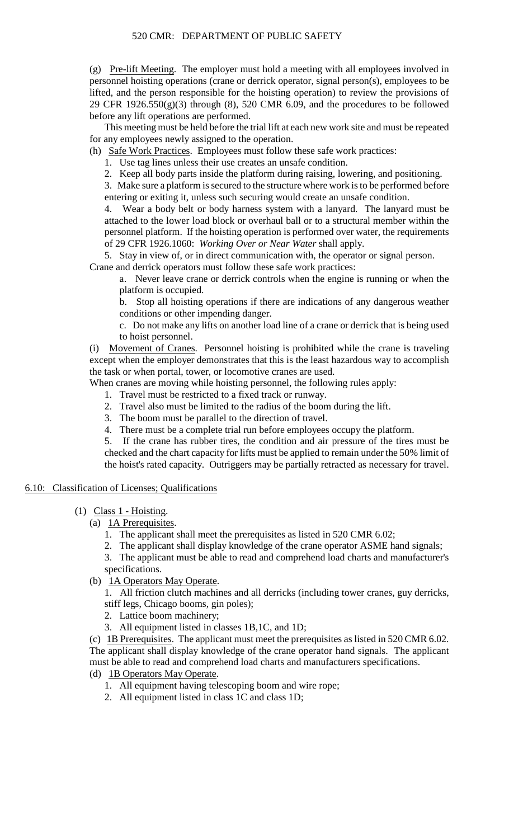29 CFR 1926.550(g)(3) through (8), 520 CMR 6.09, and the procedures to be followed (g) Pre-lift Meeting. The employer must hold a meeting with all employees involved in personnel hoisting operations (crane or derrick operator, signal person(s), employees to be lifted, and the person responsible for the hoisting operation) to review the provisions of before any lift operations are performed.

This meeting must be held before the trial lift at each new work site and must be repeated for any employees newly assigned to the operation.

(h) Safe Work Practices. Employees must follow these safe work practices:

1. Use tag lines unless their use creates an unsafe condition.

2. Keep all body parts inside the platform during raising, lowering, and positioning.

3. Make sure a platform is secured to the structure where work is to be performed before entering or exiting it, unless such securing would create an unsafe condition.

4. Wear a body belt or body harness system with a lanyard. The lanyard must be attached to the lower load block or overhaul ball or to a structural member within the personnel platform. If the hoisting operation is performed over water, the requirements of 29 CFR 1926.1060: *Working Over or Near Water* shall apply.

5. Stay in view of, or in direct communication with, the operator or signal person. Crane and derrick operators must follow these safe work practices:

 a. Never leave crane or derrick controls when the engine is running or when the platform is occupied.

b. Stop all hoisting operations if there are indications of any dangerous weather conditions or other impending danger.

c. Do not make any lifts on another load line of a crane or derrick that is being used to hoist personnel.

(i) Movement of Cranes. Personnel hoisting is prohibited while the crane is traveling except when the employer demonstrates that this is the least hazardous way to accomplish the task or when portal, tower, or locomotive cranes are used.

When cranes are moving while hoisting personnel, the following rules apply:

- 1. Travel must be restricted to a fixed track or runway.
- 2. Travel also must be limited to the radius of the boom during the lift.
- 3. The boom must be parallel to the direction of travel.
- 4. There must be a complete trial run before employees occupy the platform.

 5. If the crane has rubber tires, the condition and air pressure of the tires must be checked and the chart capacity for lifts must be applied to remain under the 50% limit of the hoist's rated capacity. Outriggers may be partially retracted as necessary for travel.

#### 6.10: Classification of Licenses; Qualifications

- (1) Class 1 Hoisting.
	- (a) 1A Prerequisites.
		- 1. The applicant shall meet the prerequisites as listed in 520 CMR 6.02;
		- 2. The applicant shall display knowledge of the crane operator ASME hand signals;

3. The applicant must be able to read and comprehend load charts and manufacturer's specifications.

(b) 1A Operators May Operate.

 1. All friction clutch machines and all derricks (including tower cranes, guy derricks, stiff legs, Chicago booms, gin poles);

- 2. Lattice boom machinery;
- 3. All equipment listed in classes 1B,1C, and 1D;

(c) 1B Prerequisites. The applicant must meet the prerequisites as listed in 520 CMR 6.02. The applicant shall display knowledge of the crane operator hand signals. The applicant must be able to read and comprehend load charts and manufacturers specifications.

- (d) 1B Operators May Operate.
	- 1. All equipment having telescoping boom and wire rope;
	- 2. All equipment listed in class 1C and class 1D;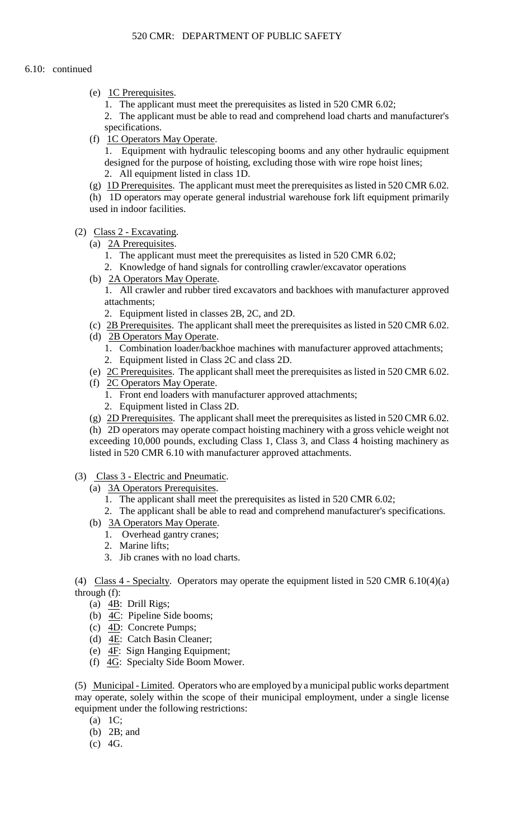#### (e) 1C Prerequisites.

1. The applicant must meet the prerequisites as listed in 520 CMR 6.02;

2. The applicant must be able to read and comprehend load charts and manufacturer's specifications.

(f) 1C Operators May Operate.

1. Equipment with hydraulic telescoping booms and any other hydraulic equipment designed for the purpose of hoisting, excluding those with wire rope hoist lines; 2. All equipment listed in class 1D.

(g) 1D Prerequisites. The applicant must meet the prerequisites as listed in 520 CMR 6.02.

(h) 1D operators may operate general industrial warehouse fork lift equipment primarily used in indoor facilities.

## (2) Class 2 - Excavating.

- (a) 2A Prerequisites.
	- 1. The applicant must meet the prerequisites as listed in 520 CMR 6.02;
	- 2. Knowledge of hand signals for controlling crawler/excavator operations
- 1. All crawler and rubber tired excavators and backhoes with manufacturer approved (b) 2A Operators May Operate. attachments;

2. Equipment listed in classes 2B, 2C, and 2D.

- (c) 2B Prerequisites. The applicant shall meet the prerequisites as listed in 520 CMR 6.02.
- (d) 2B Operators May Operate.
	- 1. Combination loader/backhoe machines with manufacturer approved attachments;
	- 2. Equipment listed in Class 2C and class 2D.
- (e) 2C Prerequisites. The applicant shall meet the prerequisites as listed in 520 CMR 6.02.
- (f) 2C Operators May Operate.
	- 1. Front end loaders with manufacturer approved attachments;
	- 2. Equipment listed in Class 2D.
- (g) 2D Prerequisites. The applicant shall meet the prerequisites as listed in 520 CMR 6.02.

(h) 2D operators may operate compact hoisting machinery with a gross vehicle weight not exceeding 10,000 pounds, excluding Class 1, Class 3, and Class 4 hoisting machinery as listed in 520 CMR 6.10 with manufacturer approved attachments.

#### (3) Class 3 - Electric and Pneumatic.

- (a) 3A Operators Prerequisites.
	- 1. The applicant shall meet the prerequisites as listed in 520 CMR 6.02;
	- 2. The applicant shall be able to read and comprehend manufacturer's specifications.
- (b) 3A Operators May Operate.
	- 1. Overhead gantry cranes;
	- 2. Marine lifts;
	- 3. Jib cranes with no load charts.

(4) Class  $4$  - Specialty. Operators may operate the equipment listed in 520 CMR 6.10(4)(a) through (f):

- (a) 4B: Drill Rigs;
- (b)  $4C$ : Pipeline Side booms;
- (c) 4D: Concrete Pumps;
- (d) 4E: Catch Basin Cleaner;
- (e) 4F: Sign Hanging Equipment;
- (f) 4G: Specialty Side Boom Mower.

 (5) Municipal - Limited. Operators who are employed by a municipal public works department may operate, solely within the scope of their municipal employment, under a single license equipment under the following restrictions:

- (a) 1C;
- (b) 2B; and
- (c) 4G.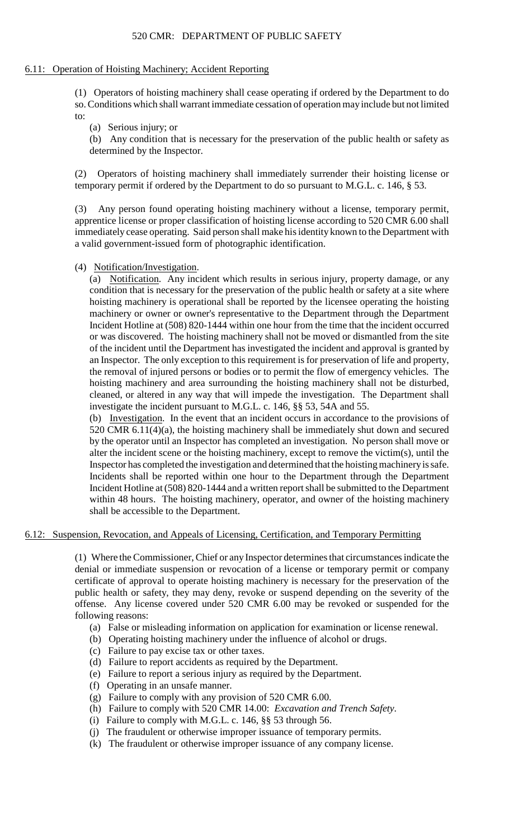#### 6.11: Operation of Hoisting Machinery; Accident Reporting

(1) Operators of hoisting machinery shall cease operating if ordered by the Department to do so. Conditions which shall warrant immediate cessation of operation may include but not limited  $t^{\alpha}$ 

(a) Serious injury; or

 (b) Any condition that is necessary for the preservation of the public health or safety as determined by the Inspector.

(2) Operators of hoisting machinery shall immediately surrender their hoisting license or temporary permit if ordered by the Department to do so pursuant to M.G.L. c. 146, § 53.

 immediately cease operating. Said person shall make his identity known to the Department with (3) Any person found operating hoisting machinery without a license, temporary permit, apprentice license or proper classification of hoisting license according to 520 CMR 6.00 shall a valid government-issued form of photographic identification.

(4) Notification/Investigation.

 hoisting machinery is operational shall be reported by the licensee operating the hoisting or was discovered. The hoisting machinery shall not be moved or dismantled from the site an Inspector. The only exception to this requirement is for preservation of life and property, (a) Notification. Any incident which results in serious injury, property damage, or any condition that is necessary for the preservation of the public health or safety at a site where machinery or owner or owner's representative to the Department through the Department Incident Hotline at (508) 820-1444 within one hour from the time that the incident occurred of the incident until the Department has investigated the incident and approval is granted by the removal of injured persons or bodies or to permit the flow of emergency vehicles. The hoisting machinery and area surrounding the hoisting machinery shall not be disturbed, cleaned, or altered in any way that will impede the investigation. The Department shall investigate the incident pursuant to M.G.L. c. 146, §§ 53, 54A and 55.

 (b) Investigation. In the event that an incident occurs in accordance to the provisions of Incidents shall be reported within one hour to the Department through the Department within 48 hours. The hoisting machinery, operator, and owner of the hoisting machinery 520 CMR 6.11(4)(a), the hoisting machinery shall be immediately shut down and secured by the operator until an Inspector has completed an investigation. No person shall move or alter the incident scene or the hoisting machinery, except to remove the victim(s), until the Inspector has completed the investigation and determined that the hoisting machineryis safe. Incident Hotline at (508) 820-1444 and a written report shall be submitted to the Department shall be accessible to the Department.

## 6.12: Suspension, Revocation, and Appeals of Licensing, Certification, and Temporary Permitting

(1) Where the Commissioner, Chief or any Inspector determines that circumstances indicate the denial or immediate suspension or revocation of a license or temporary permit or company certificate of approval to operate hoisting machinery is necessary for the preservation of the public health or safety, they may deny, revoke or suspend depending on the severity of the offense. Any license covered under 520 CMR 6.00 may be revoked or suspended for the following reasons:

- (a) False or misleading information on application for examination or license renewal.
- (b) Operating hoisting machinery under the influence of alcohol or drugs.
- (c) Failure to pay excise tax or other taxes.
- (d) Failure to report accidents as required by the Department.
- (e) Failure to report a serious injury as required by the Department.
- (f) Operating in an unsafe manner.
- (g) Failure to comply with any provision of 520 CMR 6.00.
- (h) Failure to comply with 520 CMR 14.00: *Excavation and Trench Safety*.
- (i) Failure to comply with M.G.L. c. 146, §§ 53 through 56.
- (j) The fraudulent or otherwise improper issuance of temporary permits.
- (k) The fraudulent or otherwise improper issuance of any company license.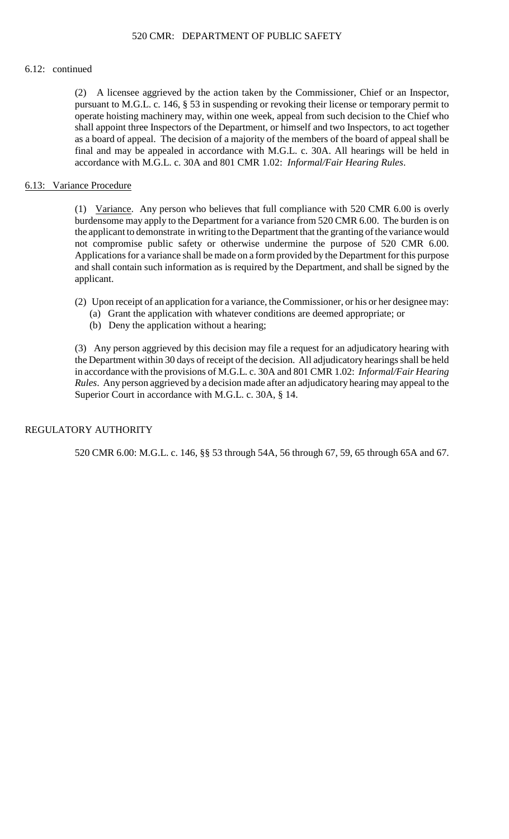#### 520 CMR: DEPARTMENT OF PUBLIC SAFETY

#### 6.12: continued

 pursuant to M.G.L. c. 146, § 53 in suspending or revoking their license or temporary permit to final and may be appealed in accordance with M.G.L. c. 30A. All hearings will be held in (2) A licensee aggrieved by the action taken by the Commissioner, Chief or an Inspector, operate hoisting machinery may, within one week, appeal from such decision to the Chief who shall appoint three Inspectors of the Department, or himself and two Inspectors, to act together as a board of appeal. The decision of a majority of the members of the board of appeal shall be accordance with M.G.L. c. 30A and 801 CMR 1.02: *Informal/Fair Hearing Rules*.

#### 6.13: Variance Procedure

 the applicant to demonstrate in writing to the Department that the granting of the variance would Applications for a variance shall be made on a form provided by the Department for this purpose (1) Variance. Any person who believes that full compliance with 520 CMR 6.00 is overly burdensome may apply to the Department for a variance from 520 CMR 6.00. The burden is on not compromise public safety or otherwise undermine the purpose of 520 CMR 6.00. and shall contain such information as is required by the Department, and shall be signed by the applicant.

- (2) Upon receipt of an application for a variance, the Commissioner, or his or her designee may:
	- (a) Grant the application with whatever conditions are deemed appropriate; or
	- (b) Deny the application without a hearing;

 (3) Any person aggrieved by this decision may file a request for an adjudicatory hearing with in accordance with the provisions of M.G.L. c. 30A and 801 CMR 1.02: *Informal/Fair Hearing*  the Department within 30 days of receipt of the decision. All adjudicatory hearings shall be held *Rules*. Any person aggrieved by a decision made after an adjudicatory hearing may appeal to the Superior Court in accordance with M.G.L. c. 30A, § 14.

## REGULATORY AUTHORITY

520 CMR 6.00: M.G.L. c. 146, §§ 53 through 54A, 56 through 67, 59, 65 through 65A and 67.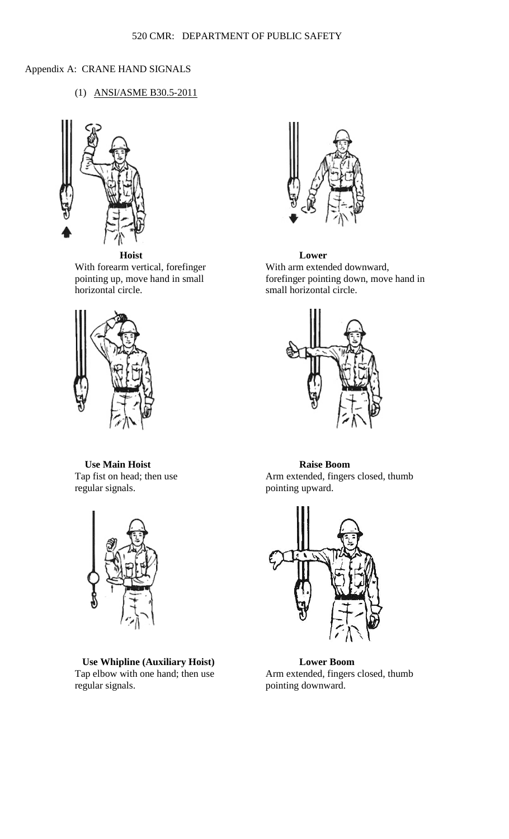## Appendix A: CRANE HAND SIGNALS

(1) ANSI/ASME B30.5-2011



**Hoist Lower**  With forearm vertical, forefinger<br>
with arm extended downward,<br>
pointing up, move hand in small<br>
forefinger pointing down, move horizontal circle. small horizontal circle.



**Use Main Hoist Raise Boom** 



 **Use Whipline (Auxiliary Hoist) Lower Boom**  regular signals. **pointing downward**.



pointing up, move hand in small forefinger pointing down, move hand in



Tap fist on head; then use Arm extended, fingers closed, thumb regular signals.  $\frac{1}{2}$  Arm extended, fingers closed, thumb pointing upward.



Tap elbow with one hand; then use Arm extended, fingers closed, thumb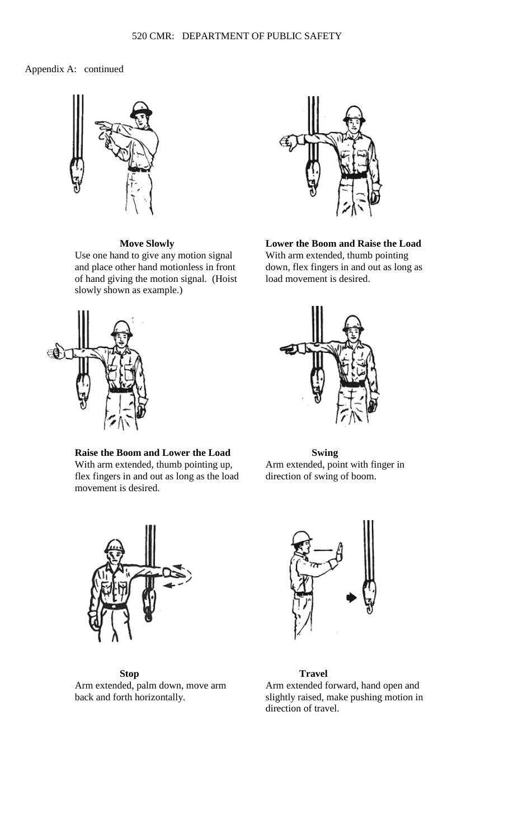## Appendix A: continued



Use one hand to give any motion signal and place other hand motionless in front down, flex fingers in and out as long as of hand giving the motion signal. (Hoist load movement is desired. of hand giving the motion signal. (Hoist slowly shown as example.)



**Raise the Boom and Lower the Load Swing**  With arm extended, thumb pointing up, Arm extended, point with finger in flex fingers in and out as long as the load direction of swing of boom. movement is desired.



## **Move Slowly Lower the Boom and Raise the Load**<br> **Cower the Boom and Raise the Load**<br> **Cower the Boom and Raise the Load**<br> **With arm extended, thumb pointing**





**Stop Travel** 



Arm extended, palm down, move arm Arm extended forward, hand open and back and forth horizontally. slightly raised, make pushing motion in direction of travel.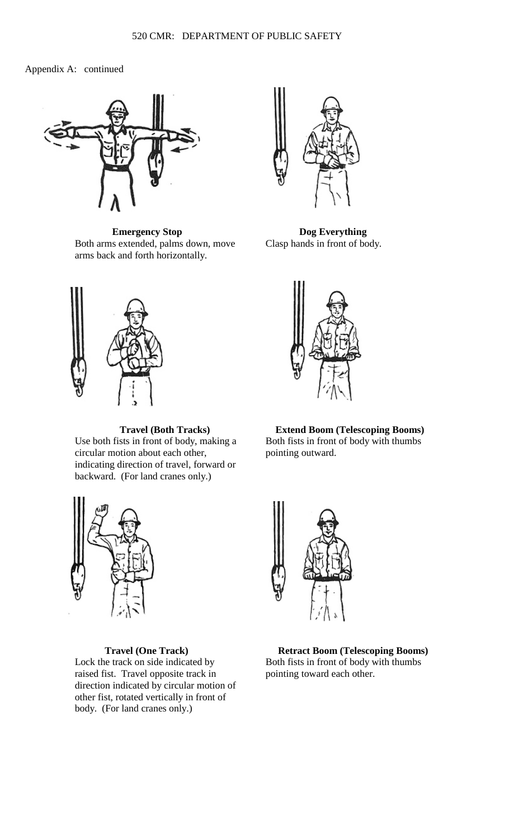

**Emergency Stop Dog Everything** Both arms extended, palms down, move Clasp hands in front of body. arms back and forth horizontally.



Use both fists in front of body, making a Both fists in front of body with thumbs circular motion about each other, pointing outward. indicating direction of travel, forward or backward. (For land cranes only.)



raised fist. Travel opposite track in pointing toward each other. direction indicated by circular motion of other fist, rotated vertically in front of body. (For land cranes only.)





**Travel (Both Tracks) Extend Boom (Telescoping Booms)** 



 **Travel (One Track) Retract Boom (Telescoping Booms)**  Lock the track on side indicated by Both fists in front of body with thumbs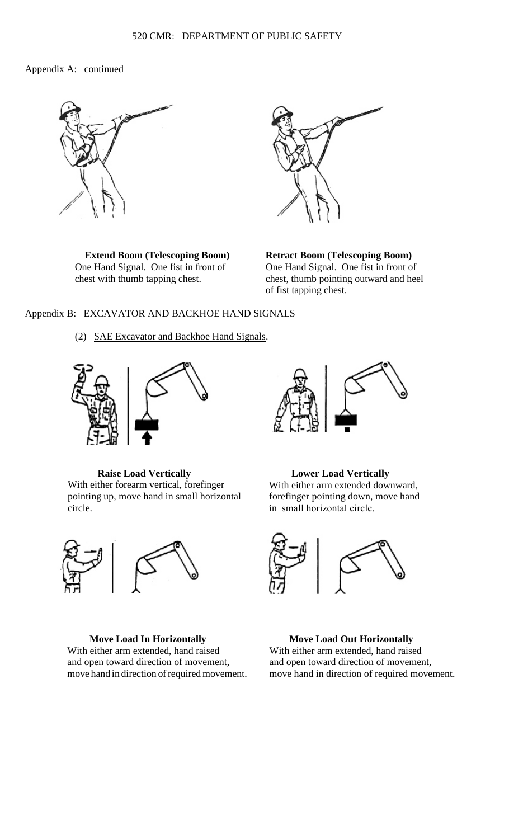Appendix A: continued







One Hand Signal. One fist in front of One Hand Signal. One fist in front of chest with thumb tapping chest. chest, thumb pointing outward and heel of fist tapping chest.

## Appendix B: EXCAVATOR AND BACKHOE HAND SIGNALS

(2) SAE Excavator and Backhoe Hand Signals.



 **Raise Load Vertically** With either forearm vertical, forefinger pointing up, move hand in small horizontal circle.



and open toward direction of movement, and open toward direction of movement,



 **Lower Load Vertically**  With either arm extended downward, forefinger pointing down, move hand in small horizontal circle.



 move hand in direction of required movement. move hand in direction of required movement. **Move Load In Horizontally Move Load Out Horizontally**<br>With either arm extended, hand raised With either arm extended, hand raised With either arm extended, hand raised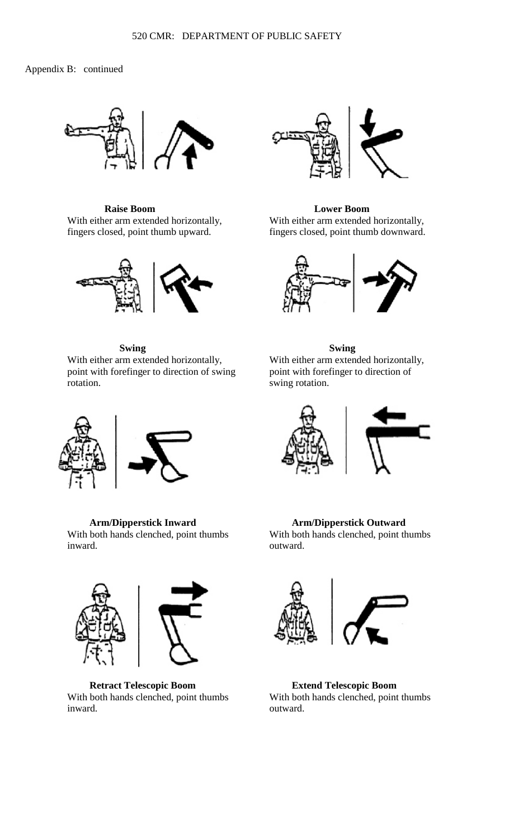

**Raise Boom Lower Boom** 



With either arm extended horizontally, With either arm extended horizontally, point with forefinger to direction of swing point with forefinger to direction of rotation. swing rotation.





**Arm/Dipperstick Inward Arm/Dipperstick Outward**  With both hands clenched, point thumbs With both hands clenched, point thumbs inward.  $\qquad \qquad \text{outward.}$ 



**Retract Telescopic Boom Extend Telescopic Boom**  With both hands clenched, point thumbs With both hands clenched, point thumbs inward. **outward. outward.** 



With either arm extended horizontally, With either arm extended horizontally, fingers closed, point thumb upward. fingers closed, point thumb downward.



**Swing Swing** 



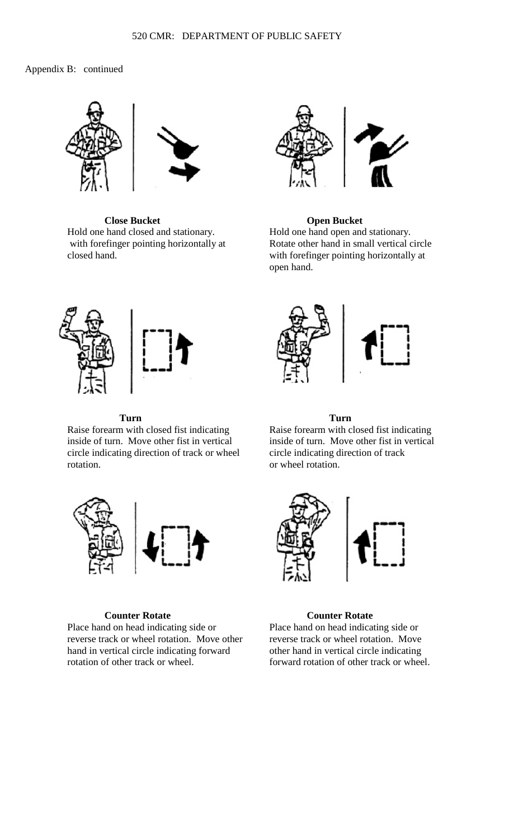#### Appendix B: continued





**Close Bucket Open Bucket** Hold one hand closed and stationary. Hold one hand open and stationary. closed hand. with forefinger pointing horizontally at



Raise forearm with closed fist indicating<br>
inside of turn. Move other fist in vertical<br>
inside of turn. Move other fist in vertical circle indicating direction of track or wheel circle indicating direction of track rotation.  $\blacksquare$  or wheel rotation.



#### **Counter Rotate Counter Rotate**

Place hand on head indicating side or Place hand on head indicating side or reverse track or wheel rotation. Move other reverse track or wheel rotation. Move hand in vertical circle indicating forward other hand in vertical circle indicating rotation of other track or wheel. forward rotation of other track or wheel.



# with forefinger pointing horizontally at Rotate other hand in small vertical circle open hand.



**Turn Turn** 

inside of turn. Move other fist in vertical

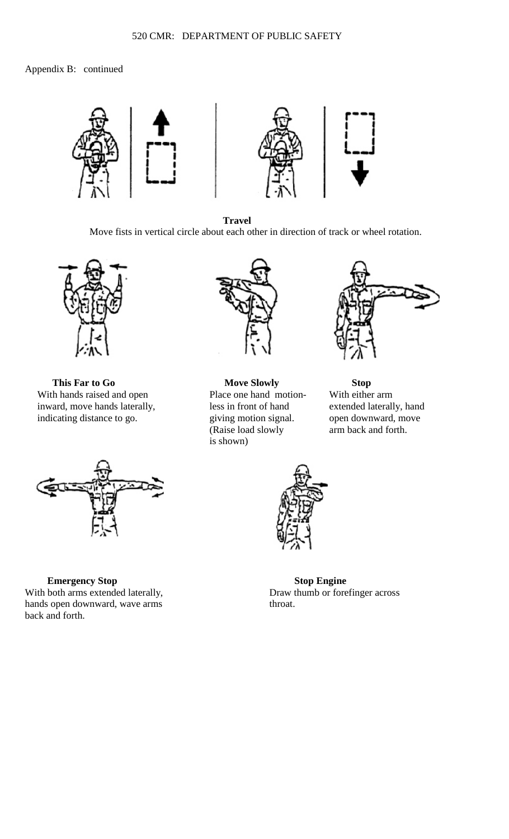Appendix B: continued



**Travel**  Move fists in vertical circle about each other in direction of track or wheel rotation.



**This Far to Go Move Slowly Stop Stop** With hands raised and open Place one hand motion-<br>
Place one hand motion-<br>
Place one hand motion-<br>
Place one hand motion-<br>
Place one hand extended laterally, hand<br>
extended laterally, hand inward, move hands laterally, less in front of hand extended laterally, hand indicating distance to go. <br>giving motion signal. open downward, move



With both arms extended laterally, Draw thumb or forefinger across hands open downward, wave arms throat. back and forth.



indicating distance to go. giving motion signal.<br>(Raise load slowly is shown)



arm back and forth.



**Emergency Stop Stop Stop Engine**